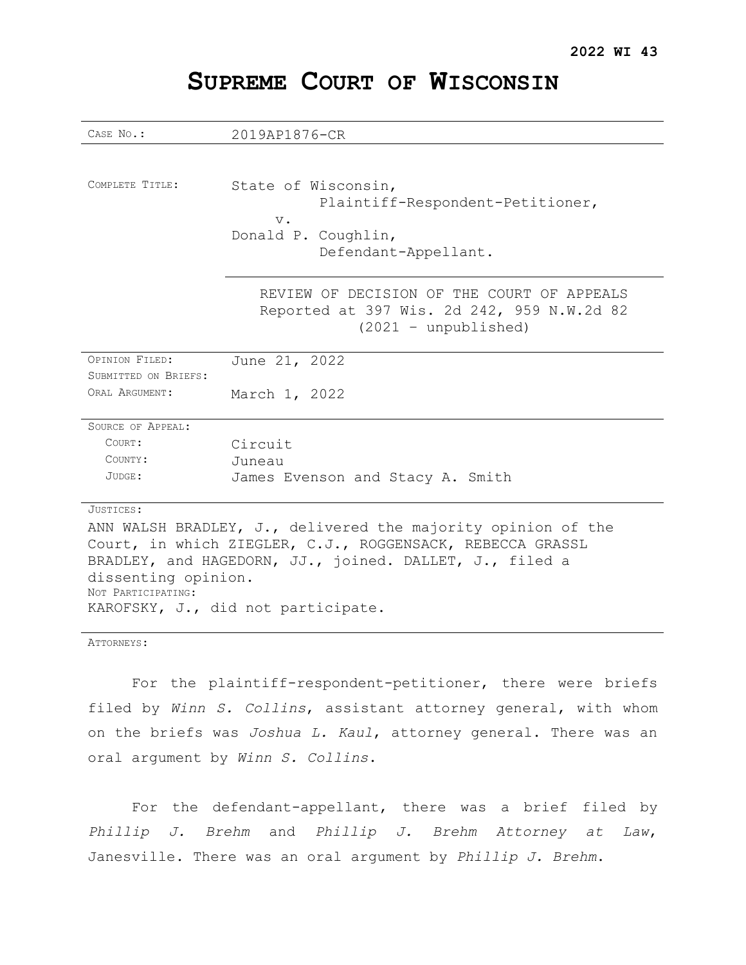| CASE No.:                                                    | 2019AP1876-CR                                                                                                      |  |
|--------------------------------------------------------------|--------------------------------------------------------------------------------------------------------------------|--|
|                                                              |                                                                                                                    |  |
| COMPLETE TITLE:                                              | State of Wisconsin,<br>Plaintiff-Respondent-Petitioner,<br>$V$ .<br>Donald P. Coughlin,<br>Defendant-Appellant.    |  |
|                                                              | REVIEW OF DECISION OF THE COURT OF APPEALS<br>Reported at 397 Wis. 2d 242, 959 N.W.2d 82<br>$(2021 - unpublished)$ |  |
| OPINION FILED:                                               | June 21, 2022                                                                                                      |  |
| SUBMITTED ON BRIEFS:                                         |                                                                                                                    |  |
| ORAL ARGUMENT:                                               | March 1, 2022                                                                                                      |  |
| SOURCE OF APPEAL:                                            |                                                                                                                    |  |
| COURT:                                                       | Circuit                                                                                                            |  |
| COUNTY:                                                      | Juneau                                                                                                             |  |
| JUDGE:                                                       | James Evenson and Stacy A. Smith                                                                                   |  |
| JUSTICES:                                                    |                                                                                                                    |  |
| ANN WALSH BRADLEY, J., delivered the majority opinion of the |                                                                                                                    |  |
| Court, in which ZIEGLER, C.J., ROGGENSACK, REBECCA GRASSL    |                                                                                                                    |  |
| BRADLEY, and HAGEDORN, JJ., joined. DALLET, J., filed a      |                                                                                                                    |  |
| dissenting opinion.                                          |                                                                                                                    |  |
| NOT PARTICIPATING:                                           |                                                                                                                    |  |
| KAROFSKY, J., did not participate.                           |                                                                                                                    |  |

# **SUPREME COURT OF WISCONSIN**

ATTORNEYS:

For the plaintiff-respondent-petitioner, there were briefs filed by *Winn S. Collins*, assistant attorney general, with whom on the briefs was *Joshua L. Kaul*, attorney general. There was an oral argument by *Winn S. Collins*.

For the defendant-appellant, there was a brief filed by *Phillip J. Brehm* and *Phillip J. Brehm Attorney at Law*, Janesville. There was an oral argument by *Phillip J. Brehm*.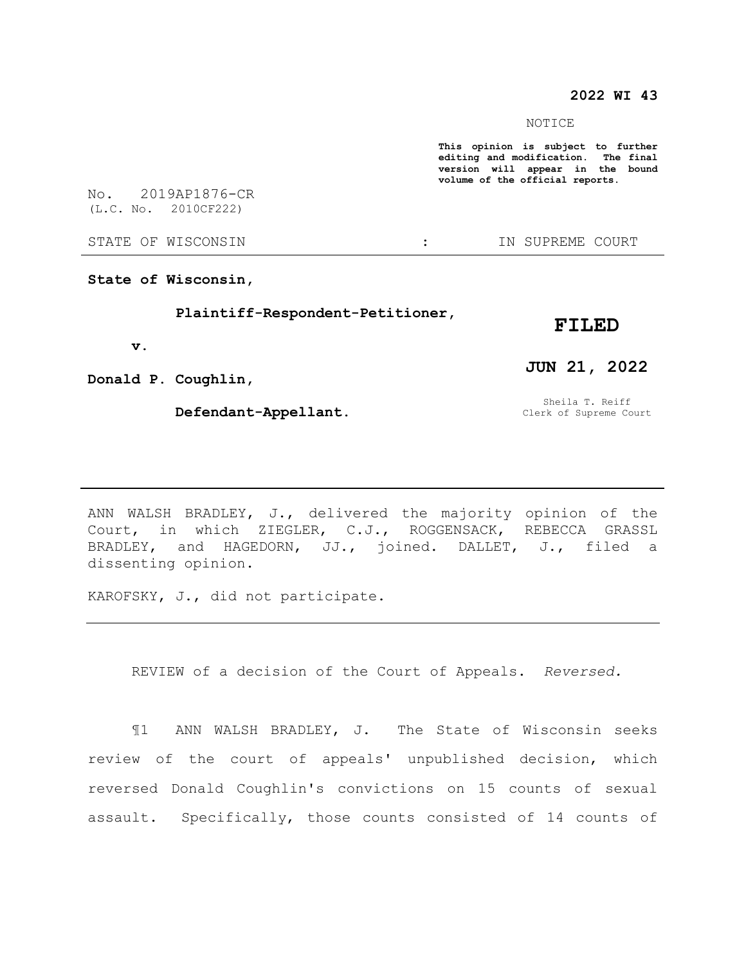## **2022 WI 43**

NOTICE

**This opinion is subject to further editing and modification. The final version will appear in the bound volume of the official reports.** 

No. 2019AP1876-CR (L.C. No. 2010CF222)

STATE OF WISCONSIN  $\cdot$  in SUPREME COURT

**State of Wisconsin,**

 **Plaintiff-Respondent-Petitioner,**

### **FILED**

 **v.**

**Donald P. Coughlin,**

 **Defendant-Appellant.**

# **JUN 21, 2022**

Sheila T. Reiff Clerk of Supreme Court

ANN WALSH BRADLEY, J., delivered the majority opinion of the Court, in which ZIEGLER, C.J., ROGGENSACK, REBECCA GRASSL BRADLEY, and HAGEDORN, JJ., joined. DALLET, J., filed a dissenting opinion.

KAROFSKY, J., did not participate.

REVIEW of a decision of the Court of Appeals. *Reversed.*

¶1 ANN WALSH BRADLEY, J. The State of Wisconsin seeks review of the court of appeals' unpublished decision, which reversed Donald Coughlin's convictions on 15 counts of sexual assault. Specifically, those counts consisted of 14 counts of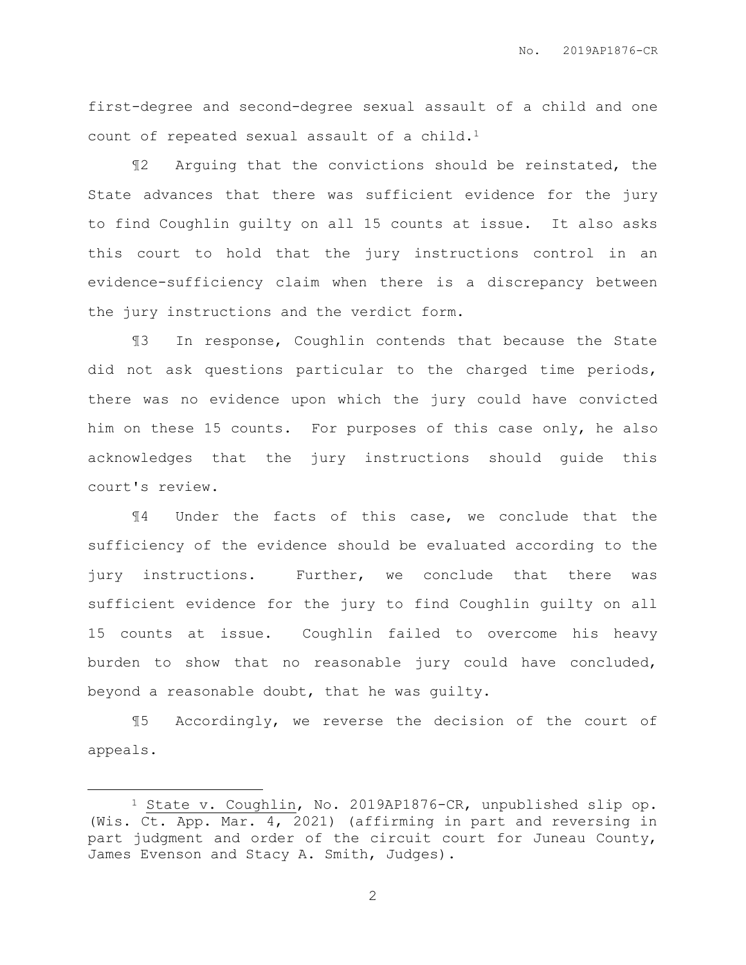first-degree and second-degree sexual assault of a child and one count of repeated sexual assault of a child.<sup>1</sup>

¶2 Arguing that the convictions should be reinstated, the State advances that there was sufficient evidence for the jury to find Coughlin guilty on all 15 counts at issue. It also asks this court to hold that the jury instructions control in an evidence-sufficiency claim when there is a discrepancy between the jury instructions and the verdict form.

¶3 In response, Coughlin contends that because the State did not ask questions particular to the charged time periods, there was no evidence upon which the jury could have convicted him on these 15 counts. For purposes of this case only, he also acknowledges that the jury instructions should guide this court's review.

¶4 Under the facts of this case, we conclude that the sufficiency of the evidence should be evaluated according to the jury instructions. Further, we conclude that there was sufficient evidence for the jury to find Coughlin guilty on all 15 counts at issue. Coughlin failed to overcome his heavy burden to show that no reasonable jury could have concluded, beyond a reasonable doubt, that he was guilty.

¶5 Accordingly, we reverse the decision of the court of appeals.

 $\overline{a}$ 

<sup>1</sup> State v. Coughlin, No. 2019AP1876-CR, unpublished slip op. (Wis. Ct. App. Mar. 4, 2021) (affirming in part and reversing in part judgment and order of the circuit court for Juneau County, James Evenson and Stacy A. Smith, Judges).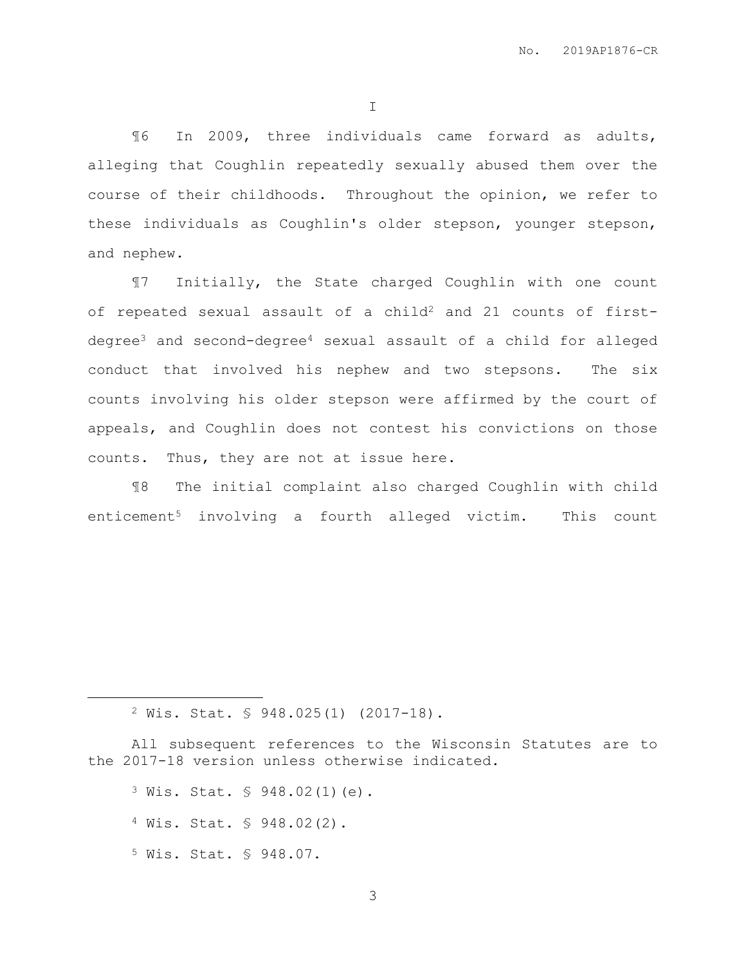I

¶6 In 2009, three individuals came forward as adults, alleging that Coughlin repeatedly sexually abused them over the course of their childhoods. Throughout the opinion, we refer to these individuals as Coughlin's older stepson, younger stepson, and nephew.

¶7 Initially, the State charged Coughlin with one count of repeated sexual assault of a child<sup>2</sup> and 21 counts of firstdegree<sup>3</sup> and second-degree<sup>4</sup> sexual assault of a child for alleged conduct that involved his nephew and two stepsons. The six counts involving his older stepson were affirmed by the court of appeals, and Coughlin does not contest his convictions on those counts. Thus, they are not at issue here.

¶8 The initial complaint also charged Coughlin with child enticement<sup>5</sup> involving a fourth alleged victim. This count

All subsequent references to the Wisconsin Statutes are to the 2017-18 version unless otherwise indicated.

<sup>3</sup> Wis. Stat. § 948.02(1)(e).

<sup>4</sup> Wis. Stat. § 948.02(2).

<sup>5</sup> Wis. Stat. § 948.07.

 $\overline{a}$ 

<sup>2</sup> Wis. Stat. § 948.025(1) (2017-18).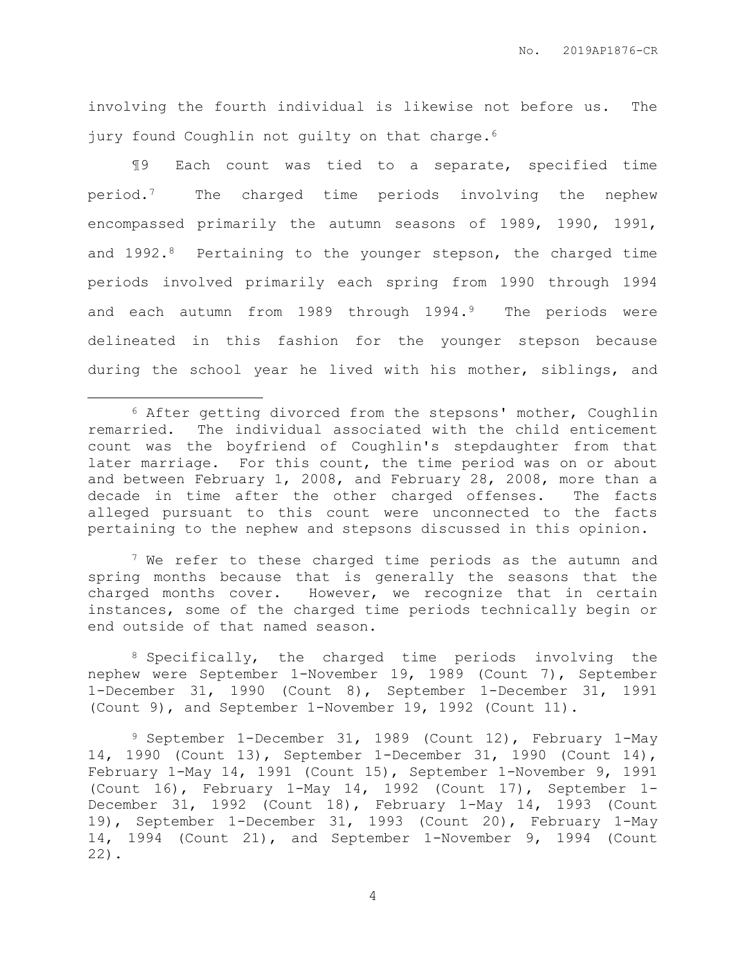involving the fourth individual is likewise not before us. The jury found Coughlin not guilty on that charge.<sup>6</sup>

¶9 Each count was tied to a separate, specified time period.7 The charged time periods involving the nephew encompassed primarily the autumn seasons of 1989, 1990, 1991, and 1992.<sup>8</sup> Pertaining to the younger stepson, the charged time periods involved primarily each spring from 1990 through 1994 and each autumn from 1989 through 1994.<sup>9</sup> The periods were delineated in this fashion for the younger stepson because during the school year he lived with his mother, siblings, and

 $\overline{a}$ 

 $7$  We refer to these charged time periods as the autumn and spring months because that is generally the seasons that the charged months cover. However, we recognize that in certain instances, some of the charged time periods technically begin or end outside of that named season.

8 Specifically, the charged time periods involving the nephew were September 1-November 19, 1989 (Count 7), September 1-December 31, 1990 (Count 8), September 1-December 31, 1991 (Count 9), and September 1-November 19, 1992 (Count 11).

<sup>9</sup> September 1-December 31, 1989 (Count 12), February 1-May 14, 1990 (Count 13), September 1-December 31, 1990 (Count 14), February 1-May 14, 1991 (Count 15), September 1-November 9, 1991 (Count 16), February 1-May 14, 1992 (Count 17), September 1- December 31, 1992 (Count 18), February 1-May 14, 1993 (Count 19), September 1-December 31, 1993 (Count 20), February 1-May 14, 1994 (Count 21), and September 1-November 9, 1994 (Count 22).

<sup>6</sup> After getting divorced from the stepsons' mother, Coughlin remarried. The individual associated with the child enticement count was the boyfriend of Coughlin's stepdaughter from that later marriage. For this count, the time period was on or about and between February 1, 2008, and February 28, 2008, more than a decade in time after the other charged offenses. The facts alleged pursuant to this count were unconnected to the facts pertaining to the nephew and stepsons discussed in this opinion.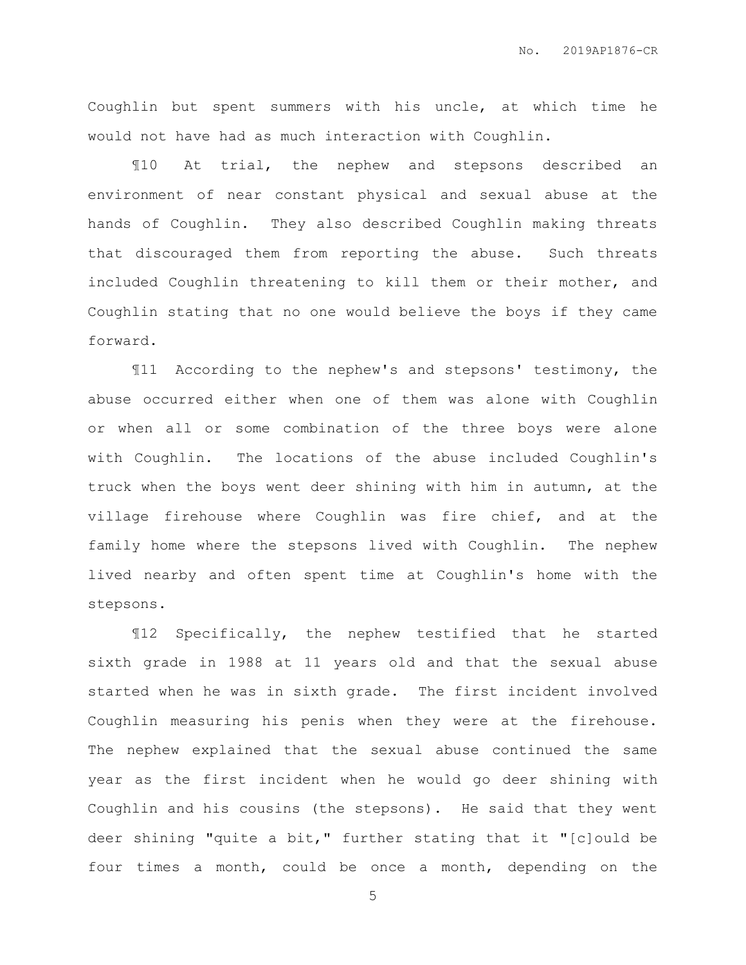Coughlin but spent summers with his uncle, at which time he would not have had as much interaction with Coughlin.

¶10 At trial, the nephew and stepsons described an environment of near constant physical and sexual abuse at the hands of Coughlin. They also described Coughlin making threats that discouraged them from reporting the abuse. Such threats included Coughlin threatening to kill them or their mother, and Coughlin stating that no one would believe the boys if they came forward.

¶11 According to the nephew's and stepsons' testimony, the abuse occurred either when one of them was alone with Coughlin or when all or some combination of the three boys were alone with Coughlin. The locations of the abuse included Coughlin's truck when the boys went deer shining with him in autumn, at the village firehouse where Coughlin was fire chief, and at the family home where the stepsons lived with Coughlin. The nephew lived nearby and often spent time at Coughlin's home with the stepsons.

¶12 Specifically, the nephew testified that he started sixth grade in 1988 at 11 years old and that the sexual abuse started when he was in sixth grade. The first incident involved Coughlin measuring his penis when they were at the firehouse. The nephew explained that the sexual abuse continued the same year as the first incident when he would go deer shining with Coughlin and his cousins (the stepsons). He said that they went deer shining "quite a bit," further stating that it "[c]ould be four times a month, could be once a month, depending on the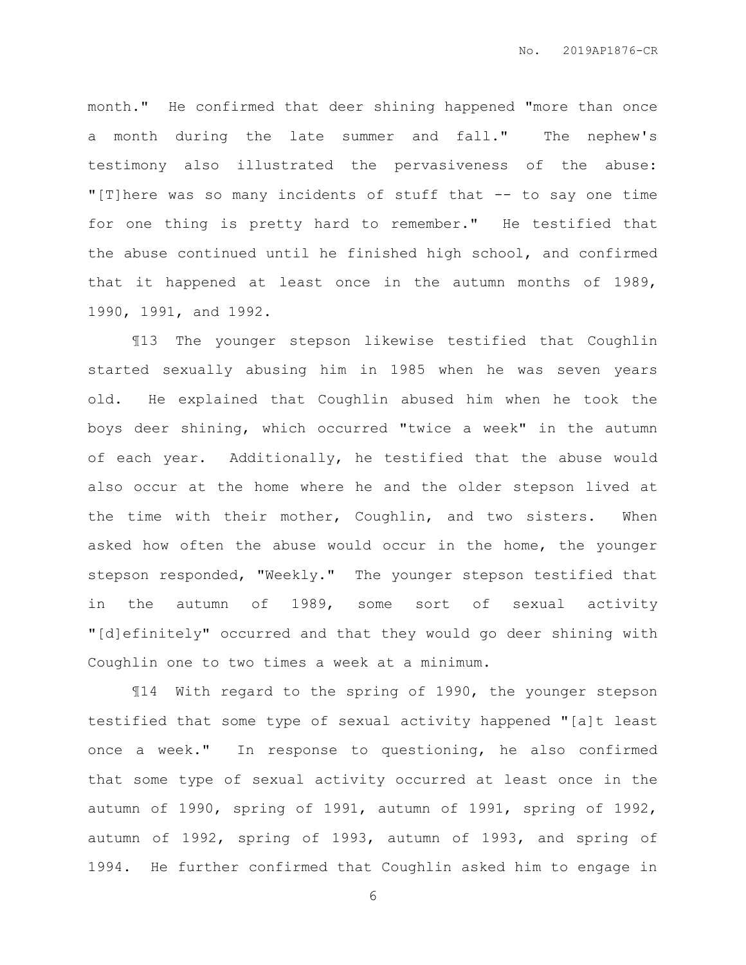month." He confirmed that deer shining happened "more than once a month during the late summer and fall." The nephew's testimony also illustrated the pervasiveness of the abuse: "[T]here was so many incidents of stuff that -- to say one time for one thing is pretty hard to remember." He testified that the abuse continued until he finished high school, and confirmed that it happened at least once in the autumn months of 1989, 1990, 1991, and 1992.

¶13 The younger stepson likewise testified that Coughlin started sexually abusing him in 1985 when he was seven years old. He explained that Coughlin abused him when he took the boys deer shining, which occurred "twice a week" in the autumn of each year. Additionally, he testified that the abuse would also occur at the home where he and the older stepson lived at the time with their mother, Coughlin, and two sisters. When asked how often the abuse would occur in the home, the younger stepson responded, "Weekly." The younger stepson testified that in the autumn of 1989, some sort of sexual activity "[d]efinitely" occurred and that they would go deer shining with Coughlin one to two times a week at a minimum.

¶14 With regard to the spring of 1990, the younger stepson testified that some type of sexual activity happened "[a]t least once a week." In response to questioning, he also confirmed that some type of sexual activity occurred at least once in the autumn of 1990, spring of 1991, autumn of 1991, spring of 1992, autumn of 1992, spring of 1993, autumn of 1993, and spring of 1994. He further confirmed that Coughlin asked him to engage in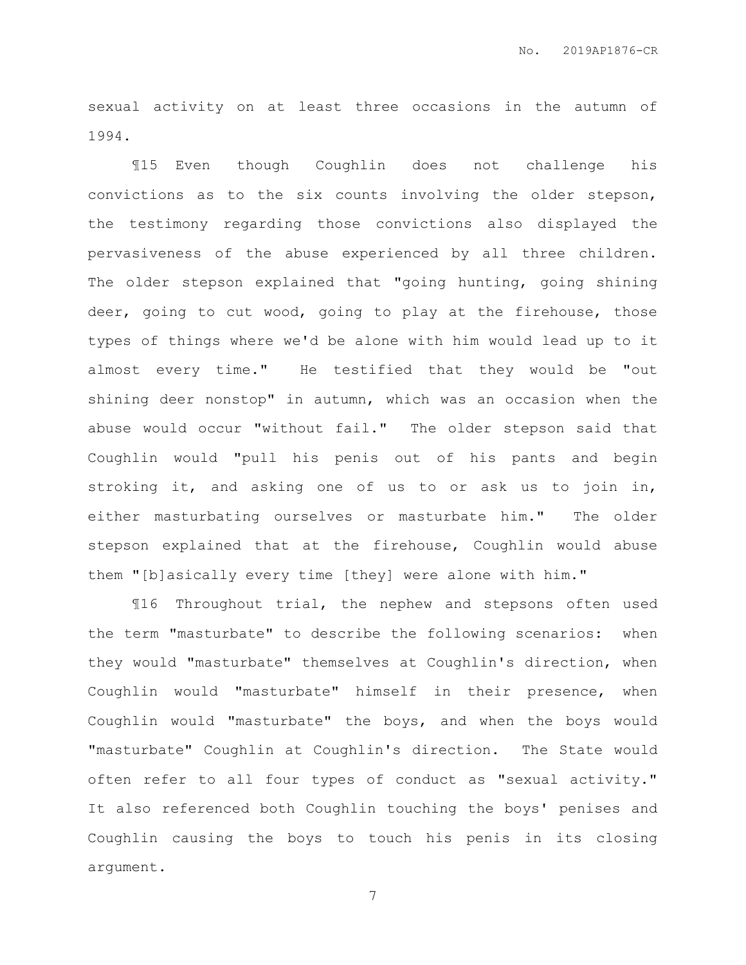sexual activity on at least three occasions in the autumn of 1994.

¶15 Even though Coughlin does not challenge his convictions as to the six counts involving the older stepson, the testimony regarding those convictions also displayed the pervasiveness of the abuse experienced by all three children. The older stepson explained that "going hunting, going shining deer, going to cut wood, going to play at the firehouse, those types of things where we'd be alone with him would lead up to it almost every time." He testified that they would be "out shining deer nonstop" in autumn, which was an occasion when the abuse would occur "without fail." The older stepson said that Coughlin would "pull his penis out of his pants and begin stroking it, and asking one of us to or ask us to join in, either masturbating ourselves or masturbate him." The older stepson explained that at the firehouse, Coughlin would abuse them "[b]asically every time [they] were alone with him."

¶16 Throughout trial, the nephew and stepsons often used the term "masturbate" to describe the following scenarios: when they would "masturbate" themselves at Coughlin's direction, when Coughlin would "masturbate" himself in their presence, when Coughlin would "masturbate" the boys, and when the boys would "masturbate" Coughlin at Coughlin's direction. The State would often refer to all four types of conduct as "sexual activity." It also referenced both Coughlin touching the boys' penises and Coughlin causing the boys to touch his penis in its closing argument.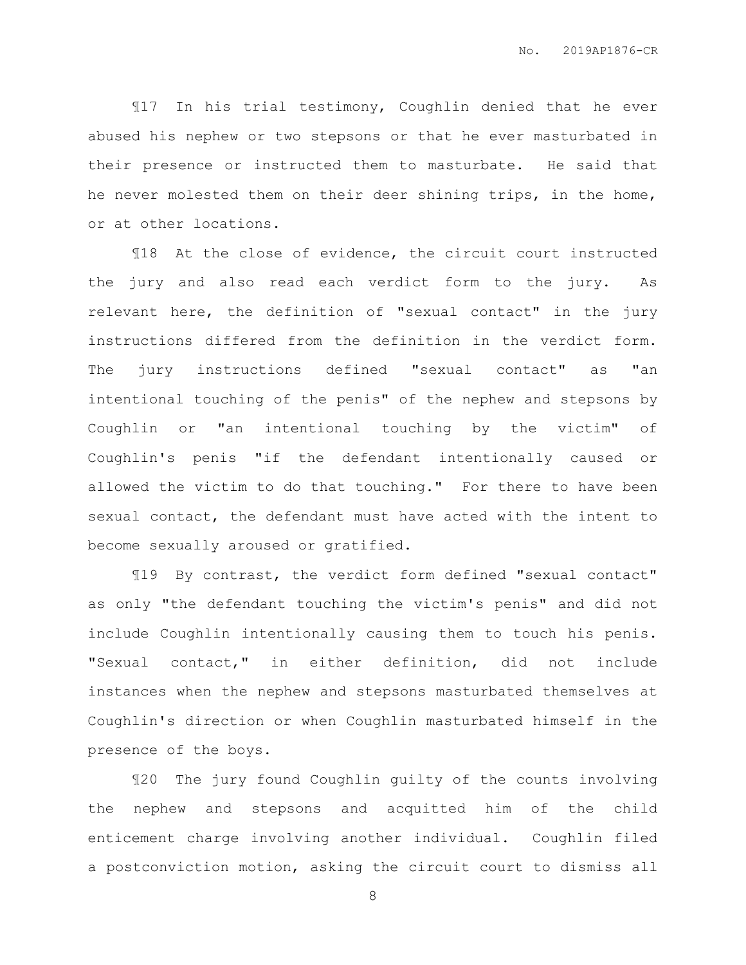¶17 In his trial testimony, Coughlin denied that he ever abused his nephew or two stepsons or that he ever masturbated in their presence or instructed them to masturbate. He said that he never molested them on their deer shining trips, in the home, or at other locations.

¶18 At the close of evidence, the circuit court instructed the jury and also read each verdict form to the jury. As relevant here, the definition of "sexual contact" in the jury instructions differed from the definition in the verdict form. The jury instructions defined "sexual contact" as "an intentional touching of the penis" of the nephew and stepsons by Coughlin or "an intentional touching by the victim" of Coughlin's penis "if the defendant intentionally caused or allowed the victim to do that touching." For there to have been sexual contact, the defendant must have acted with the intent to become sexually aroused or gratified.

¶19 By contrast, the verdict form defined "sexual contact" as only "the defendant touching the victim's penis" and did not include Coughlin intentionally causing them to touch his penis. "Sexual contact," in either definition, did not include instances when the nephew and stepsons masturbated themselves at Coughlin's direction or when Coughlin masturbated himself in the presence of the boys.

¶20 The jury found Coughlin guilty of the counts involving the nephew and stepsons and acquitted him of the child enticement charge involving another individual. Coughlin filed a postconviction motion, asking the circuit court to dismiss all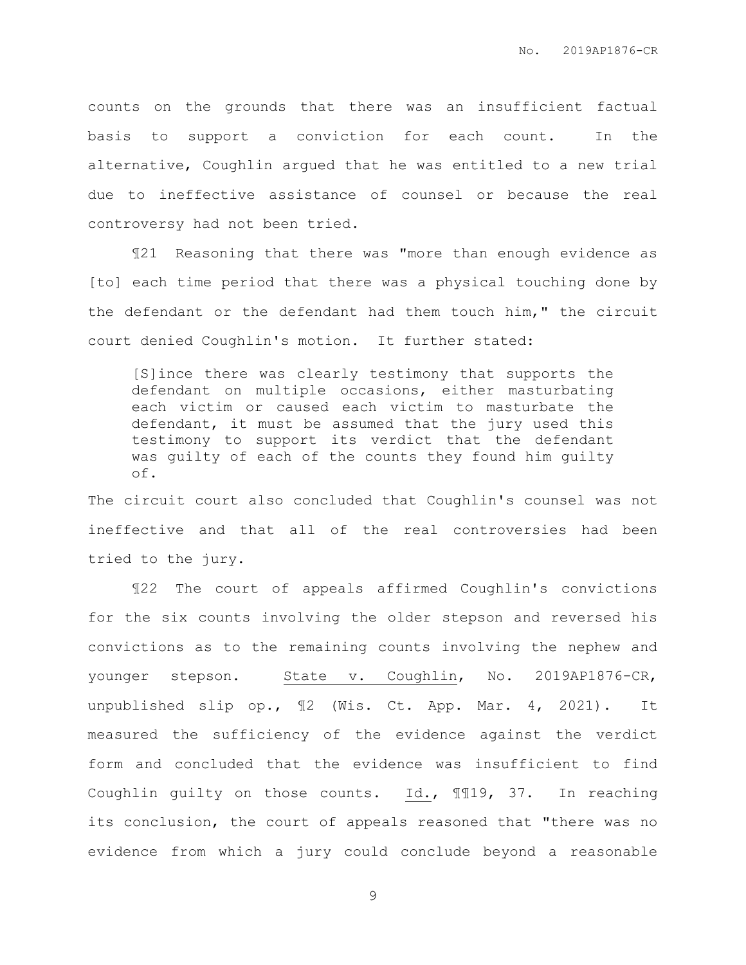counts on the grounds that there was an insufficient factual basis to support a conviction for each count. In the alternative, Coughlin argued that he was entitled to a new trial due to ineffective assistance of counsel or because the real controversy had not been tried.

¶21 Reasoning that there was "more than enough evidence as [to] each time period that there was a physical touching done by the defendant or the defendant had them touch him," the circuit court denied Coughlin's motion. It further stated:

[S]ince there was clearly testimony that supports the defendant on multiple occasions, either masturbating each victim or caused each victim to masturbate the defendant, it must be assumed that the jury used this testimony to support its verdict that the defendant was guilty of each of the counts they found him guilty of.

The circuit court also concluded that Coughlin's counsel was not ineffective and that all of the real controversies had been tried to the jury.

¶22 The court of appeals affirmed Coughlin's convictions for the six counts involving the older stepson and reversed his convictions as to the remaining counts involving the nephew and younger stepson. State v. Coughlin, No. 2019AP1876-CR, unpublished slip op., ¶2 (Wis. Ct. App. Mar. 4, 2021). It measured the sufficiency of the evidence against the verdict form and concluded that the evidence was insufficient to find Coughlin guilty on those counts. Id., ¶¶19, 37. In reaching its conclusion, the court of appeals reasoned that "there was no evidence from which a jury could conclude beyond a reasonable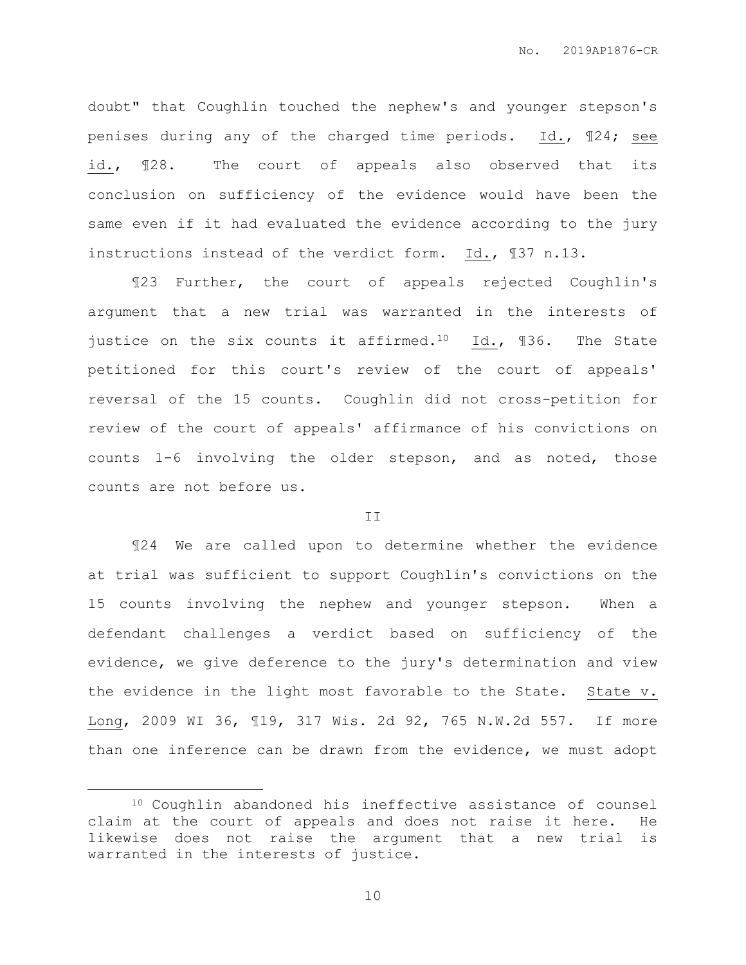doubt" that Coughlin touched the nephew's and younger stepson's penises during any of the charged time periods. Id., ¶24; see id., ¶28. The court of appeals also observed that its conclusion on sufficiency of the evidence would have been the same even if it had evaluated the evidence according to the jury instructions instead of the verdict form. Id., ¶37 n.13.

¶23 Further, the court of appeals rejected Coughlin's argument that a new trial was warranted in the interests of justice on the six counts it affirmed.<sup>10</sup> Id.,  $\text{I36.}$  The State petitioned for this court's review of the court of appeals' reversal of the 15 counts. Coughlin did not cross-petition for review of the court of appeals' affirmance of his convictions on counts 1-6 involving the older stepson, and as noted, those counts are not before us.

#### II

¶24 We are called upon to determine whether the evidence at trial was sufficient to support Coughlin's convictions on the 15 counts involving the nephew and younger stepson. When a defendant challenges a verdict based on sufficiency of the evidence, we give deference to the jury's determination and view the evidence in the light most favorable to the State. State v. Long, 2009 WI 36, ¶19, 317 Wis. 2d 92, 765 N.W.2d 557. If more than one inference can be drawn from the evidence, we must adopt

 $\overline{a}$ 

<sup>10</sup> Coughlin abandoned his ineffective assistance of counsel claim at the court of appeals and does not raise it here. He likewise does not raise the argument that a new trial is warranted in the interests of justice.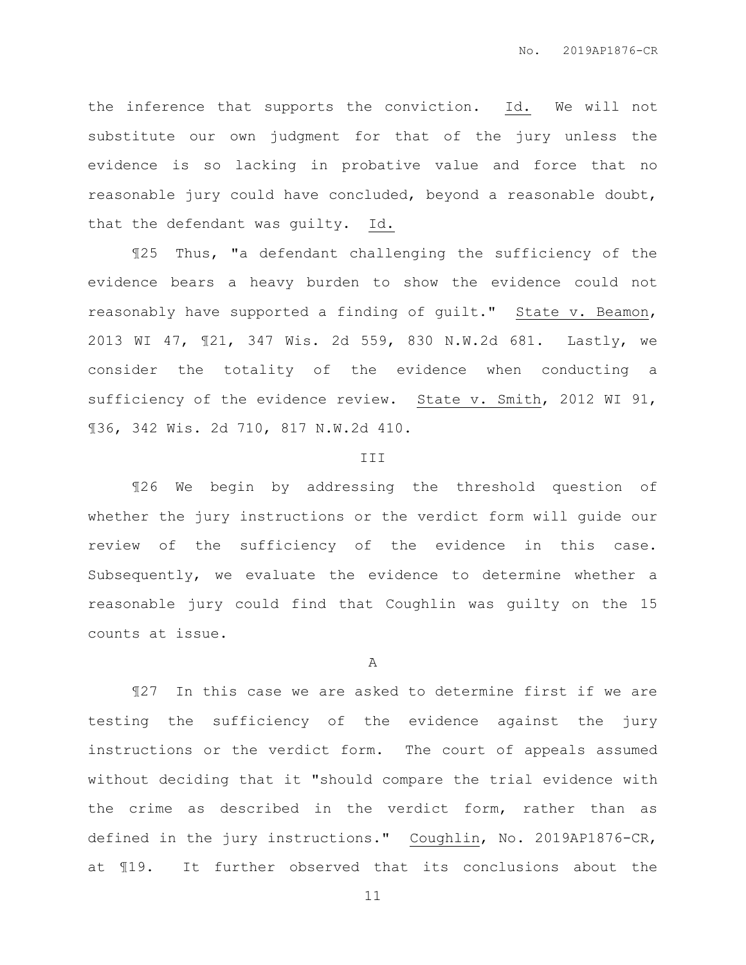the inference that supports the conviction. Id. We will not substitute our own judgment for that of the jury unless the evidence is so lacking in probative value and force that no reasonable jury could have concluded, beyond a reasonable doubt, that the defendant was guilty. Id.

¶25 Thus, "a defendant challenging the sufficiency of the evidence bears a heavy burden to show the evidence could not reasonably have supported a finding of guilt." State v. Beamon, 2013 WI 47, ¶21, 347 Wis. 2d 559, 830 N.W.2d 681. Lastly, we consider the totality of the evidence when conducting a sufficiency of the evidence review. State v. Smith, 2012 WI 91, ¶36, 342 Wis. 2d 710, 817 N.W.2d 410.

#### III

¶26 We begin by addressing the threshold question of whether the jury instructions or the verdict form will guide our review of the sufficiency of the evidence in this case. Subsequently, we evaluate the evidence to determine whether a reasonable jury could find that Coughlin was guilty on the 15 counts at issue.

#### A

¶27 In this case we are asked to determine first if we are testing the sufficiency of the evidence against the jury instructions or the verdict form. The court of appeals assumed without deciding that it "should compare the trial evidence with the crime as described in the verdict form, rather than as defined in the jury instructions." Coughlin, No. 2019AP1876-CR, at ¶19. It further observed that its conclusions about the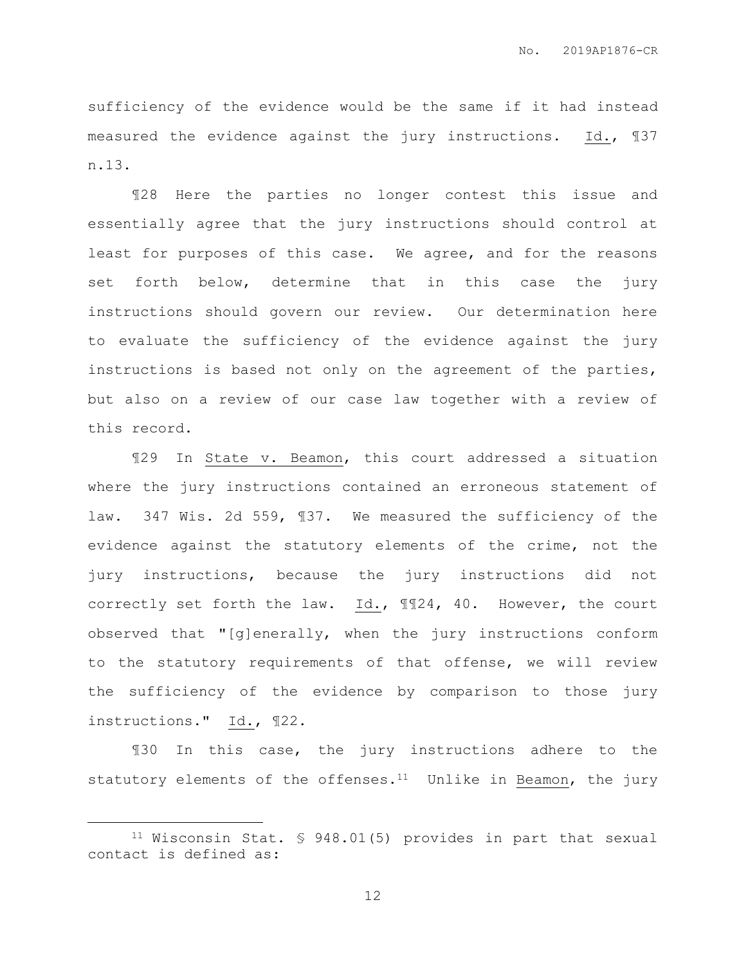sufficiency of the evidence would be the same if it had instead measured the evidence against the jury instructions. Id., ¶37 n.13.

¶28 Here the parties no longer contest this issue and essentially agree that the jury instructions should control at least for purposes of this case. We agree, and for the reasons set forth below, determine that in this case the jury instructions should govern our review. Our determination here to evaluate the sufficiency of the evidence against the jury instructions is based not only on the agreement of the parties, but also on a review of our case law together with a review of this record.

¶29 In State v. Beamon, this court addressed a situation where the jury instructions contained an erroneous statement of law. 347 Wis. 2d 559, ¶37. We measured the sufficiency of the evidence against the statutory elements of the crime, not the jury instructions, because the jury instructions did not correctly set forth the law.  $Id.,$   $\P$  $124, 40.$  However, the court observed that "[g]enerally, when the jury instructions conform to the statutory requirements of that offense, we will review the sufficiency of the evidence by comparison to those jury instructions." Id., ¶22.

¶30 In this case, the jury instructions adhere to the statutory elements of the offenses.<sup>11</sup> Unlike in Beamon, the jury

 $\overline{a}$ 

<sup>11</sup> Wisconsin Stat. § 948.01(5) provides in part that sexual contact is defined as: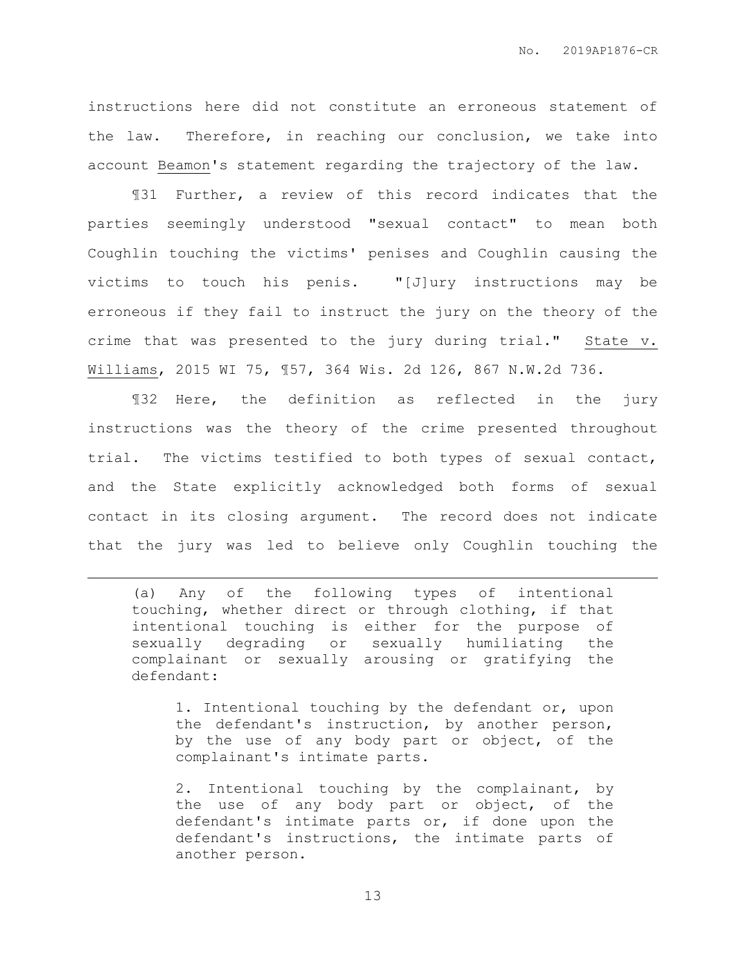instructions here did not constitute an erroneous statement of the law. Therefore, in reaching our conclusion, we take into account Beamon's statement regarding the trajectory of the law.

¶31 Further, a review of this record indicates that the parties seemingly understood "sexual contact" to mean both Coughlin touching the victims' penises and Coughlin causing the victims to touch his penis. "[J]ury instructions may be erroneous if they fail to instruct the jury on the theory of the crime that was presented to the jury during trial." State v. Williams, 2015 WI 75, ¶57, 364 Wis. 2d 126, 867 N.W.2d 736.

¶32 Here, the definition as reflected in the jury instructions was the theory of the crime presented throughout trial. The victims testified to both types of sexual contact, and the State explicitly acknowledged both forms of sexual contact in its closing argument. The record does not indicate that the jury was led to believe only Coughlin touching the

(a) Any of the following types of intentional touching, whether direct or through clothing, if that intentional touching is either for the purpose of sexually degrading or sexually humiliating the complainant or sexually arousing or gratifying the defendant:

 $\overline{a}$ 

1. Intentional touching by the defendant or, upon the defendant's instruction, by another person, by the use of any body part or object, of the complainant's intimate parts.

2. Intentional touching by the complainant, by the use of any body part or object, of the defendant's intimate parts or, if done upon the defendant's instructions, the intimate parts of another person.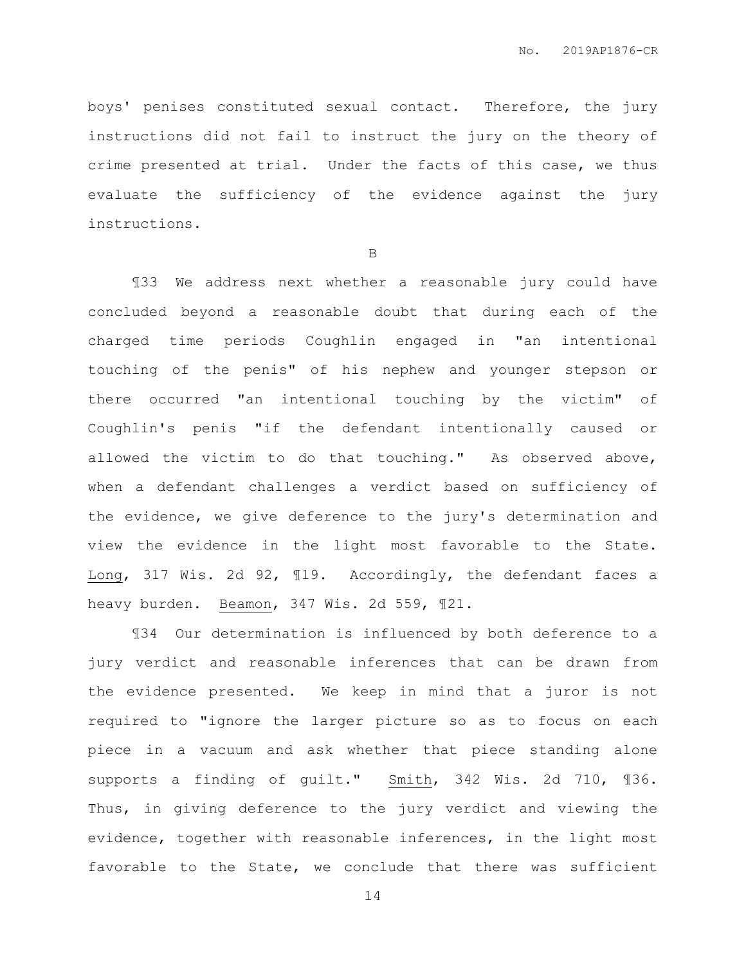boys' penises constituted sexual contact. Therefore, the jury instructions did not fail to instruct the jury on the theory of crime presented at trial. Under the facts of this case, we thus evaluate the sufficiency of the evidence against the jury instructions.

B

¶33 We address next whether a reasonable jury could have concluded beyond a reasonable doubt that during each of the charged time periods Coughlin engaged in "an intentional touching of the penis" of his nephew and younger stepson or there occurred "an intentional touching by the victim" of Coughlin's penis "if the defendant intentionally caused or allowed the victim to do that touching." As observed above, when a defendant challenges a verdict based on sufficiency of the evidence, we give deference to the jury's determination and view the evidence in the light most favorable to the State. Long, 317 Wis. 2d 92, ¶19. Accordingly, the defendant faces a heavy burden. Beamon, 347 Wis. 2d 559, ¶21.

¶34 Our determination is influenced by both deference to a jury verdict and reasonable inferences that can be drawn from the evidence presented. We keep in mind that a juror is not required to "ignore the larger picture so as to focus on each piece in a vacuum and ask whether that piece standing alone supports a finding of guilt." Smith, 342 Wis. 2d 710, ¶36. Thus, in giving deference to the jury verdict and viewing the evidence, together with reasonable inferences, in the light most favorable to the State, we conclude that there was sufficient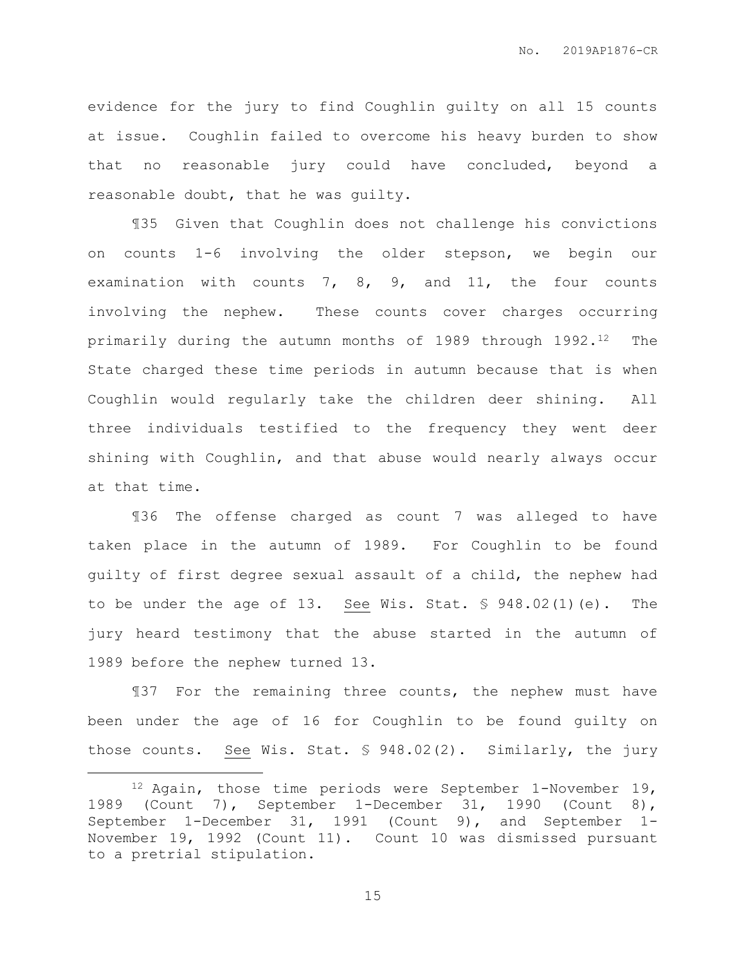evidence for the jury to find Coughlin guilty on all 15 counts at issue. Coughlin failed to overcome his heavy burden to show that no reasonable jury could have concluded, beyond a reasonable doubt, that he was guilty.

¶35 Given that Coughlin does not challenge his convictions on counts 1-6 involving the older stepson, we begin our examination with counts 7, 8, 9, and 11, the four counts involving the nephew. These counts cover charges occurring primarily during the autumn months of 1989 through 1992.<sup>12</sup> The State charged these time periods in autumn because that is when Coughlin would regularly take the children deer shining. All three individuals testified to the frequency they went deer shining with Coughlin, and that abuse would nearly always occur at that time.

¶36 The offense charged as count 7 was alleged to have taken place in the autumn of 1989. For Coughlin to be found guilty of first degree sexual assault of a child, the nephew had to be under the age of 13. See Wis. Stat. § 948.02(1)(e). The jury heard testimony that the abuse started in the autumn of 1989 before the nephew turned 13.

¶37 For the remaining three counts, the nephew must have been under the age of 16 for Coughlin to be found guilty on those counts. See Wis. Stat. § 948.02(2). Similarly, the jury

 $\overline{a}$ 

<sup>12</sup> Again, those time periods were September 1-November 19, 1989 (Count 7), September 1-December 31, 1990 (Count 8), September 1-December 31, 1991 (Count 9), and September 1- November 19, 1992 (Count 11). Count 10 was dismissed pursuant to a pretrial stipulation.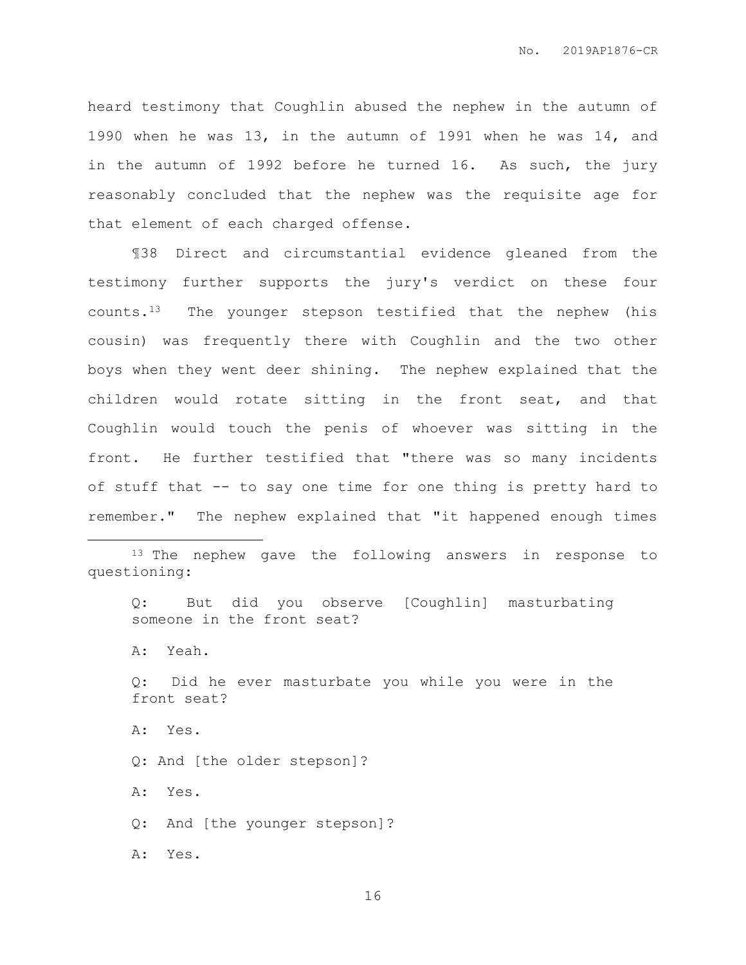heard testimony that Coughlin abused the nephew in the autumn of 1990 when he was 13, in the autumn of 1991 when he was 14, and in the autumn of 1992 before he turned 16. As such, the jury reasonably concluded that the nephew was the requisite age for that element of each charged offense.

¶38 Direct and circumstantial evidence gleaned from the testimony further supports the jury's verdict on these four counts.13 The younger stepson testified that the nephew (his cousin) was frequently there with Coughlin and the two other boys when they went deer shining. The nephew explained that the children would rotate sitting in the front seat, and that Coughlin would touch the penis of whoever was sitting in the front. He further testified that "there was so many incidents of stuff that -- to say one time for one thing is pretty hard to remember." The nephew explained that "it happened enough times

Q: But did you observe [Coughlin] masturbating someone in the front seat? A: Yeah. Q: Did he ever masturbate you while you were in the front seat? A: Yes. Q: And [the older stepson]? A: Yes. Q: And [the younger stepson]?

A: Yes.

 $\overline{a}$ 

<sup>&</sup>lt;sup>13</sup> The nephew gave the following answers in response to questioning: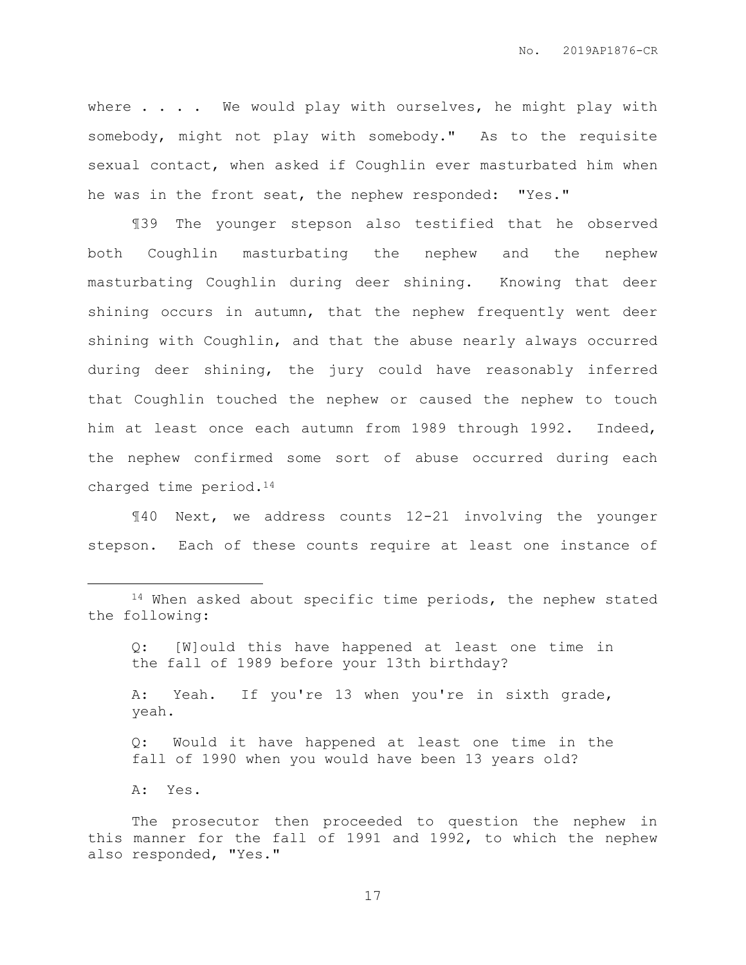where  $\ldots$  . We would play with ourselves, he might play with somebody, might not play with somebody." As to the requisite sexual contact, when asked if Coughlin ever masturbated him when he was in the front seat, the nephew responded: "Yes."

¶39 The younger stepson also testified that he observed both Coughlin masturbating the nephew and the nephew masturbating Coughlin during deer shining. Knowing that deer shining occurs in autumn, that the nephew frequently went deer shining with Coughlin, and that the abuse nearly always occurred during deer shining, the jury could have reasonably inferred that Coughlin touched the nephew or caused the nephew to touch him at least once each autumn from 1989 through 1992. Indeed, the nephew confirmed some sort of abuse occurred during each charged time period.<sup>14</sup>

¶40 Next, we address counts 12-21 involving the younger stepson. Each of these counts require at least one instance of

- Q: [W]ould this have happened at least one time in the fall of 1989 before your 13th birthday?
- A: Yeah. If you're 13 when you're in sixth grade, yeah.
- Q: Would it have happened at least one time in the fall of 1990 when you would have been 13 years old?
- A: Yes.

 $\overline{a}$ 

<sup>&</sup>lt;sup>14</sup> When asked about specific time periods, the nephew stated the following:

The prosecutor then proceeded to question the nephew in this manner for the fall of 1991 and 1992, to which the nephew also responded, "Yes."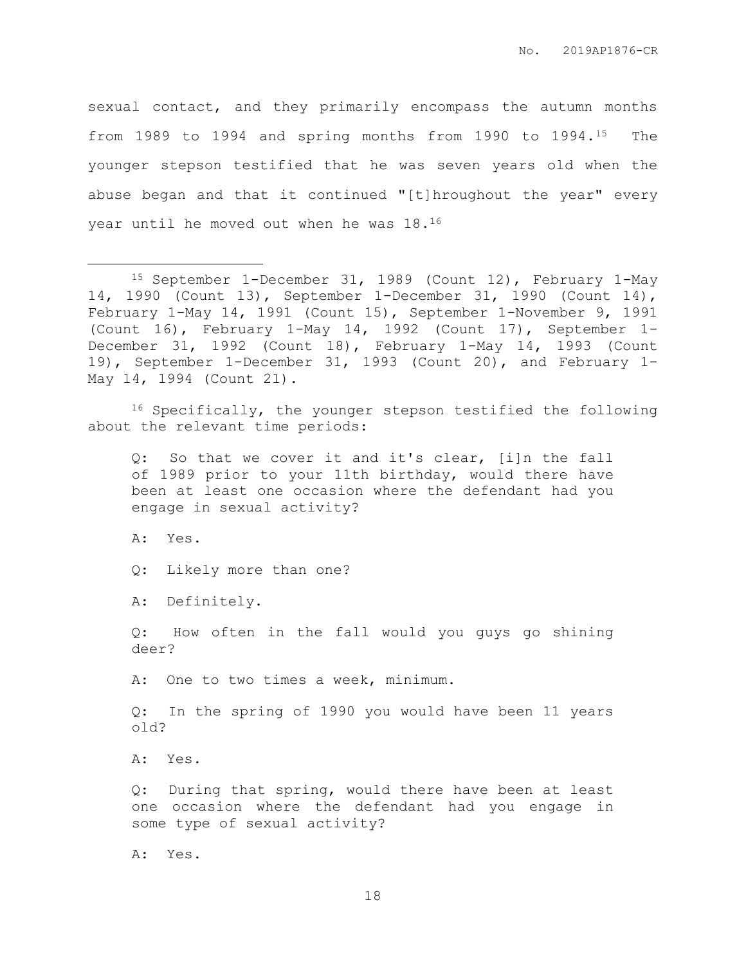sexual contact, and they primarily encompass the autumn months from 1989 to 1994 and spring months from 1990 to 1994.15 The younger stepson testified that he was seven years old when the abuse began and that it continued "[t]hroughout the year" every year until he moved out when he was 18.<sup>16</sup>

<sup>16</sup> Specifically, the younger stepson testified the following about the relevant time periods:

Q: So that we cover it and it's clear, [i]n the fall of 1989 prior to your 11th birthday, would there have been at least one occasion where the defendant had you engage in sexual activity?

A: Yes.

 $\overline{a}$ 

Q: Likely more than one?

A: Definitely.

Q: How often in the fall would you guys go shining deer?

A: One to two times a week, minimum.

Q: In the spring of 1990 you would have been 11 years old?

A: Yes.

Q: During that spring, would there have been at least one occasion where the defendant had you engage in some type of sexual activity?

A: Yes.

<sup>15</sup> September 1-December 31, 1989 (Count 12), February 1-May 14, 1990 (Count 13), September 1-December 31, 1990 (Count 14), February 1-May 14, 1991 (Count 15), September 1-November 9, 1991 (Count 16), February 1-May 14, 1992 (Count 17), September 1- December 31, 1992 (Count 18), February 1-May 14, 1993 (Count 19), September 1-December 31, 1993 (Count 20), and February 1- May 14, 1994 (Count 21).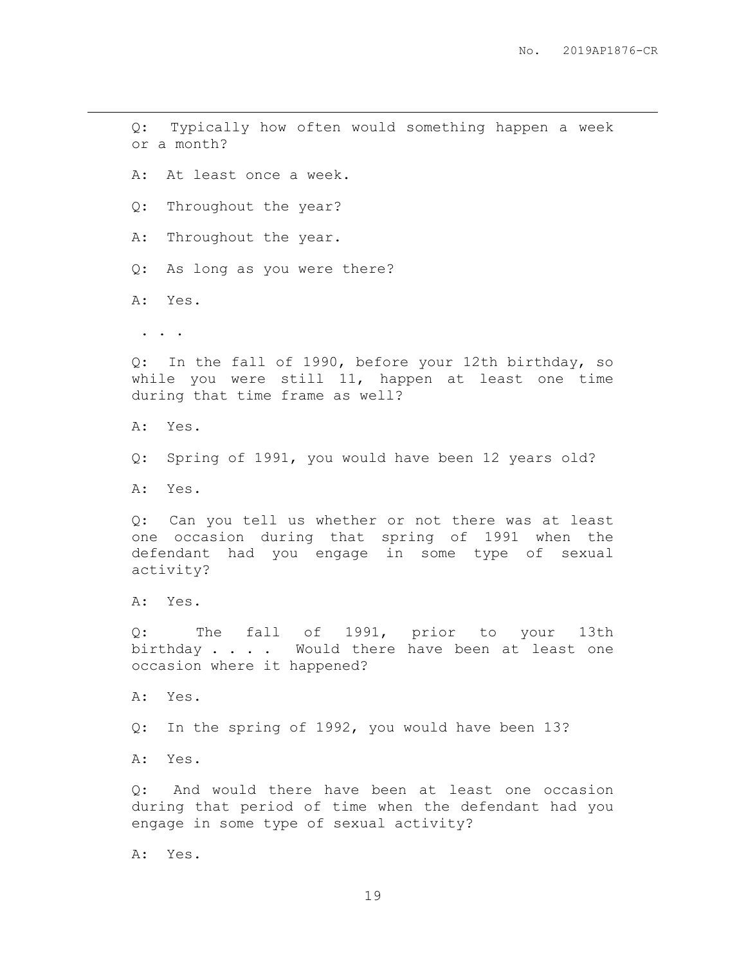Q: Typically how often would something happen a week or a month? A: At least once a week. Q: Throughout the year? A: Throughout the year. Q: As long as you were there? A: Yes. . . . Q: In the fall of 1990, before your 12th birthday, so while you were still 11, happen at least one time during that time frame as well? A: Yes. Q: Spring of 1991, you would have been 12 years old? A: Yes. Q: Can you tell us whether or not there was at least one occasion during that spring of 1991 when the defendant had you engage in some type of sexual activity? A: Yes. Q: The fall of 1991, prior to your 13th birthday . . . . Would there have been at least one occasion where it happened? A: Yes. Q: In the spring of 1992, you would have been 13? A: Yes. Q: And would there have been at least one occasion during that period of time when the defendant had you engage in some type of sexual activity? A: Yes.

 $\overline{a}$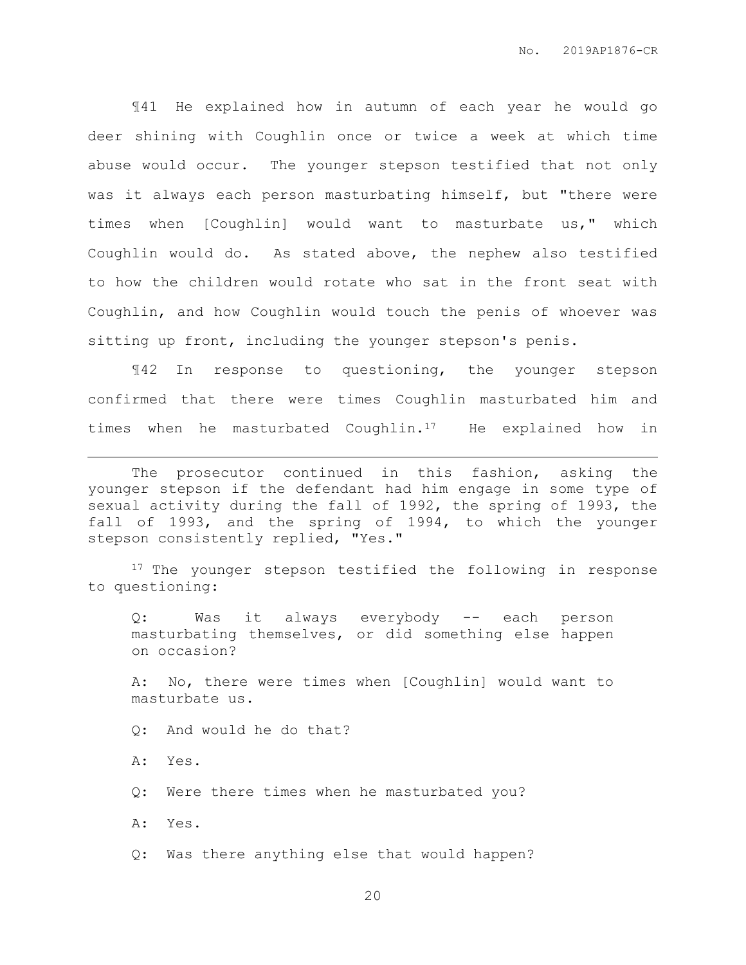¶41 He explained how in autumn of each year he would go deer shining with Coughlin once or twice a week at which time abuse would occur. The younger stepson testified that not only was it always each person masturbating himself, but "there were times when [Coughlin] would want to masturbate us," which Coughlin would do. As stated above, the nephew also testified to how the children would rotate who sat in the front seat with Coughlin, and how Coughlin would touch the penis of whoever was sitting up front, including the younger stepson's penis.

¶42 In response to questioning, the younger stepson confirmed that there were times Coughlin masturbated him and times when he masturbated Coughlin.<sup>17</sup> He explained how in

The prosecutor continued in this fashion, asking the younger stepson if the defendant had him engage in some type of sexual activity during the fall of 1992, the spring of 1993, the fall of 1993, and the spring of 1994, to which the younger stepson consistently replied, "Yes."

<sup>17</sup> The younger stepson testified the following in response to questioning:

Q: Was it always everybody -- each person masturbating themselves, or did something else happen on occasion?

A: No, there were times when [Coughlin] would want to masturbate us.

Q: And would he do that?

A: Yes.

 $\overline{a}$ 

Q: Were there times when he masturbated you?

A: Yes.

Q: Was there anything else that would happen?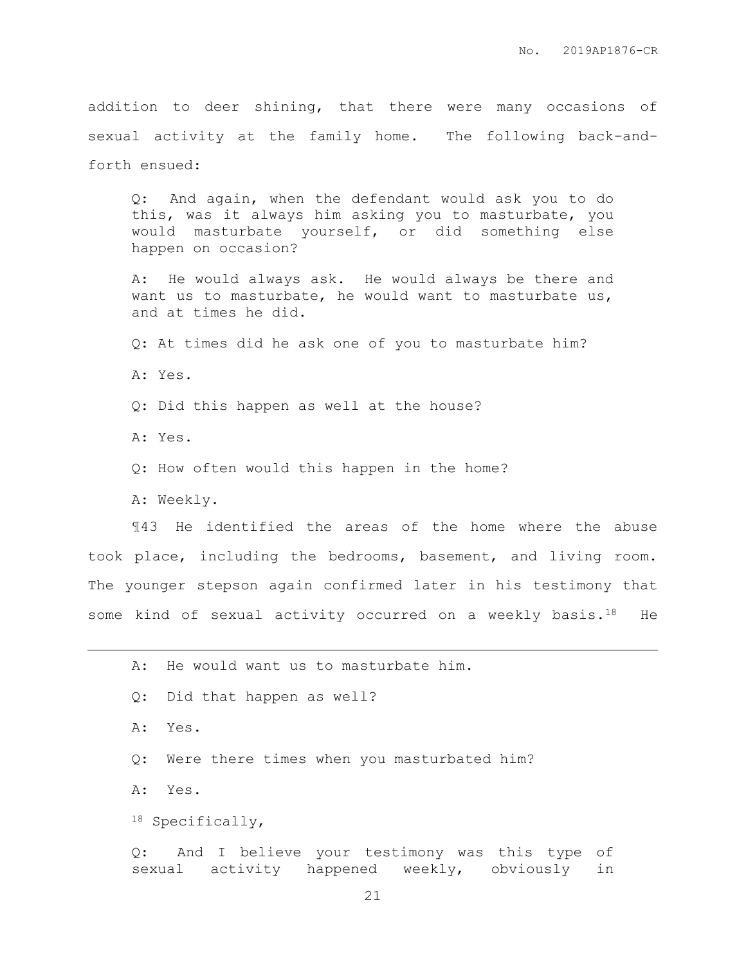addition to deer shining, that there were many occasions of sexual activity at the family home. The following back-andforth ensued:

Q: And again, when the defendant would ask you to do this, was it always him asking you to masturbate, you would masturbate yourself, or did something else happen on occasion?

A: He would always ask. He would always be there and want us to masturbate, he would want to masturbate us, and at times he did.

Q: At times did he ask one of you to masturbate him?

A: Yes.

Q: Did this happen as well at the house?

A: Yes.

 $\overline{a}$ 

Q: How often would this happen in the home?

A: Weekly.

¶43 He identified the areas of the home where the abuse took place, including the bedrooms, basement, and living room. The younger stepson again confirmed later in his testimony that some kind of sexual activity occurred on a weekly basis. $18$  He

|  | A: He would want us to masturbate him.                                                               |  |
|--|------------------------------------------------------------------------------------------------------|--|
|  | Q: Did that happen as well?                                                                          |  |
|  | A: Yes.                                                                                              |  |
|  | Q: Were there times when you masturbated him?                                                        |  |
|  | A: Yes.                                                                                              |  |
|  | $^{18}$ Specifically,                                                                                |  |
|  | Q: And I believe your testimony was this type<br>оf<br>sexual activity happened weekly, obviously in |  |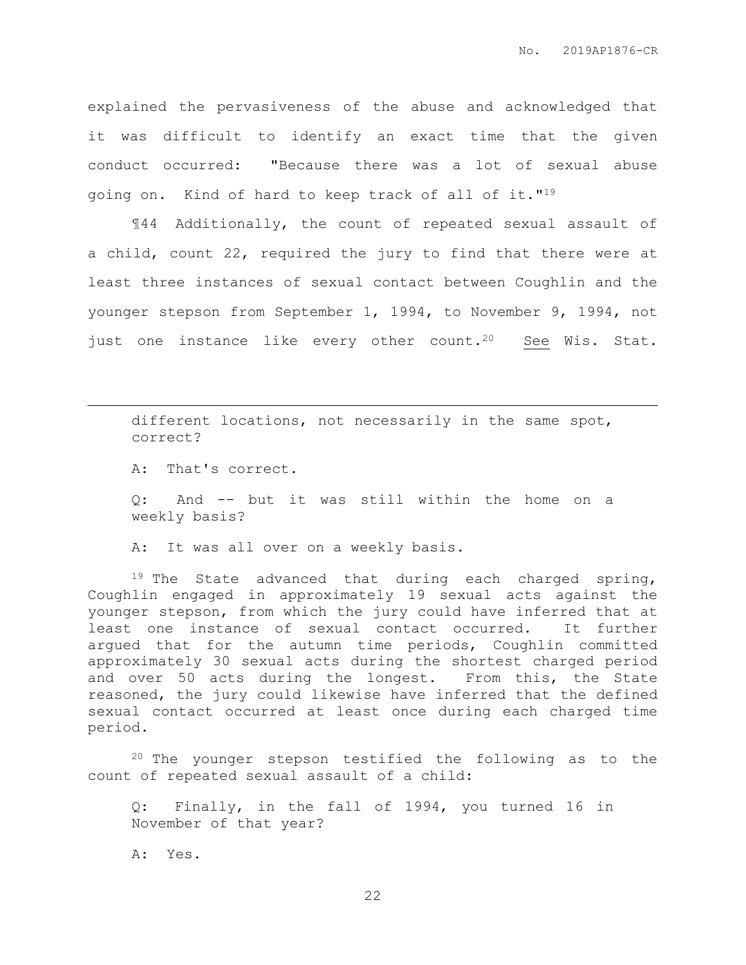explained the pervasiveness of the abuse and acknowledged that it was difficult to identify an exact time that the given conduct occurred: "Because there was a lot of sexual abuse going on. Kind of hard to keep track of all of it."<sup>19</sup>

¶44 Additionally, the count of repeated sexual assault of a child, count 22, required the jury to find that there were at least three instances of sexual contact between Coughlin and the younger stepson from September 1, 1994, to November 9, 1994, not just one instance like every other count.<sup>20</sup> See Wis. Stat.

different locations, not necessarily in the same spot, correct?

A: That's correct.

 $\overline{a}$ 

Q: And -- but it was still within the home on a weekly basis?

A: It was all over on a weekly basis.

<sup>19</sup> The State advanced that during each charged spring, Coughlin engaged in approximately 19 sexual acts against the younger stepson, from which the jury could have inferred that at least one instance of sexual contact occurred. It further argued that for the autumn time periods, Coughlin committed approximately 30 sexual acts during the shortest charged period and over 50 acts during the longest. From this, the State reasoned, the jury could likewise have inferred that the defined sexual contact occurred at least once during each charged time period.

<sup>20</sup> The younger stepson testified the following as to the count of repeated sexual assault of a child:

Q: Finally, in the fall of 1994, you turned 16 in November of that year?

A: Yes.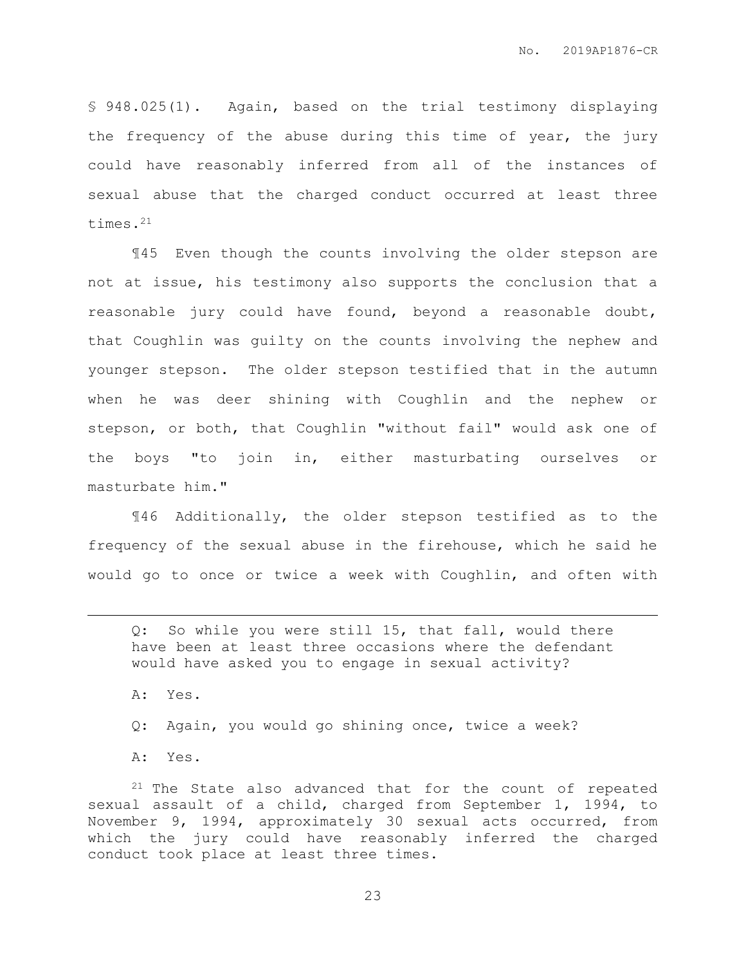§ 948.025(1). Again, based on the trial testimony displaying the frequency of the abuse during this time of year, the jury could have reasonably inferred from all of the instances of sexual abuse that the charged conduct occurred at least three times.<sup>21</sup>

¶45 Even though the counts involving the older stepson are not at issue, his testimony also supports the conclusion that a reasonable jury could have found, beyond a reasonable doubt, that Coughlin was guilty on the counts involving the nephew and younger stepson. The older stepson testified that in the autumn when he was deer shining with Coughlin and the nephew or stepson, or both, that Coughlin "without fail" would ask one of the boys "to join in, either masturbating ourselves or masturbate him."

¶46 Additionally, the older stepson testified as to the frequency of the sexual abuse in the firehouse, which he said he would go to once or twice a week with Coughlin, and often with

Q: So while you were still 15, that fall, would there have been at least three occasions where the defendant would have asked you to engage in sexual activity?

A: Yes.

 $\overline{a}$ 

Q: Again, you would go shining once, twice a week?

A: Yes.

<sup>21</sup> The State also advanced that for the count of repeated sexual assault of a child, charged from September 1, 1994, to November 9, 1994, approximately 30 sexual acts occurred, from which the jury could have reasonably inferred the charged conduct took place at least three times.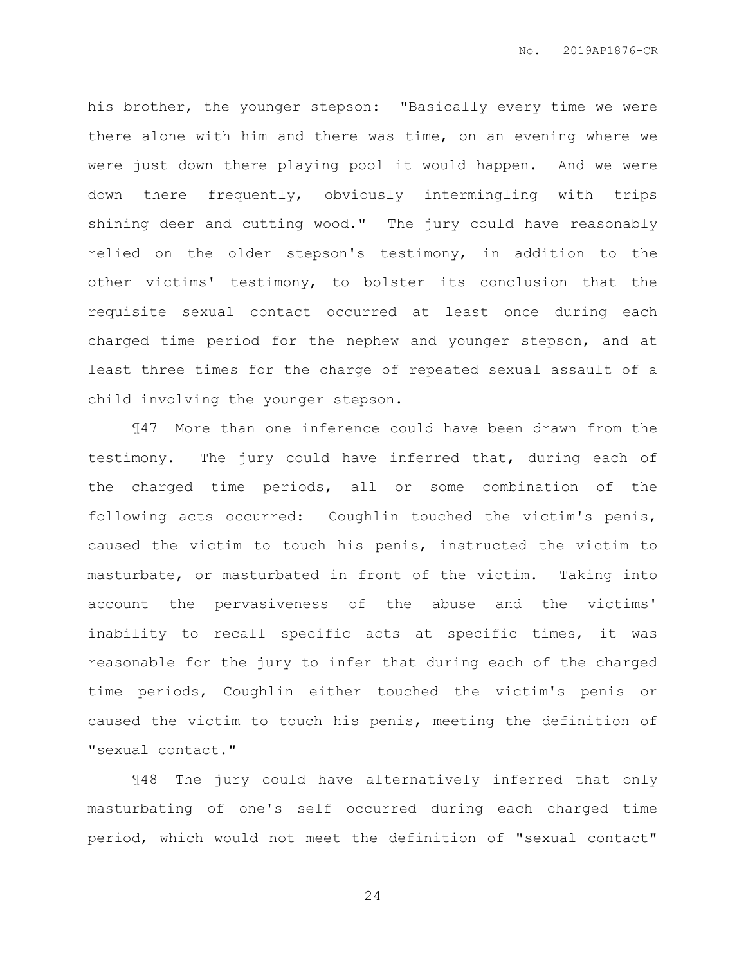his brother, the younger stepson: "Basically every time we were there alone with him and there was time, on an evening where we were just down there playing pool it would happen. And we were down there frequently, obviously intermingling with trips shining deer and cutting wood." The jury could have reasonably relied on the older stepson's testimony, in addition to the other victims' testimony, to bolster its conclusion that the requisite sexual contact occurred at least once during each charged time period for the nephew and younger stepson, and at least three times for the charge of repeated sexual assault of a child involving the younger stepson.

¶47 More than one inference could have been drawn from the testimony. The jury could have inferred that, during each of the charged time periods, all or some combination of the following acts occurred: Coughlin touched the victim's penis, caused the victim to touch his penis, instructed the victim to masturbate, or masturbated in front of the victim. Taking into account the pervasiveness of the abuse and the victims' inability to recall specific acts at specific times, it was reasonable for the jury to infer that during each of the charged time periods, Coughlin either touched the victim's penis or caused the victim to touch his penis, meeting the definition of "sexual contact."

¶48 The jury could have alternatively inferred that only masturbating of one's self occurred during each charged time period, which would not meet the definition of "sexual contact"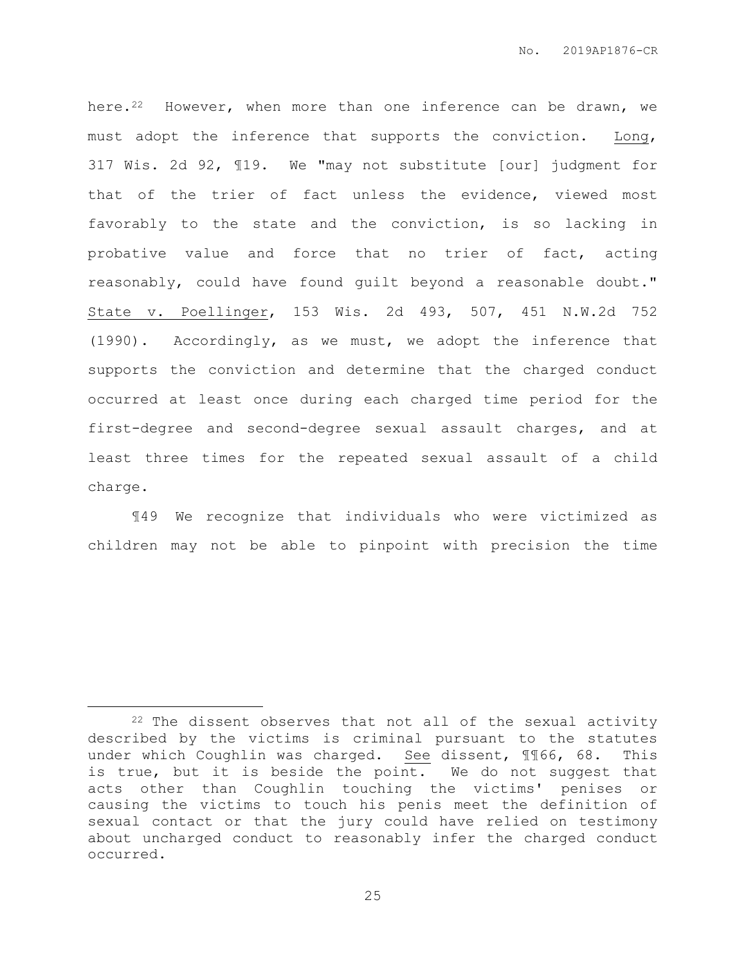here.<sup>22</sup> However, when more than one inference can be drawn, we must adopt the inference that supports the conviction. Long, 317 Wis. 2d 92, ¶19. We "may not substitute [our] judgment for that of the trier of fact unless the evidence, viewed most favorably to the state and the conviction, is so lacking in probative value and force that no trier of fact, acting reasonably, could have found guilt beyond a reasonable doubt." State v. Poellinger, 153 Wis. 2d 493, 507, 451 N.W.2d 752 (1990). Accordingly, as we must, we adopt the inference that supports the conviction and determine that the charged conduct occurred at least once during each charged time period for the first-degree and second-degree sexual assault charges, and at least three times for the repeated sexual assault of a child charge.

¶49 We recognize that individuals who were victimized as children may not be able to pinpoint with precision the time

 $\overline{a}$ 

 $22$  The dissent observes that not all of the sexual activity described by the victims is criminal pursuant to the statutes under which Coughlin was charged. See dissent, ¶¶66, 68. This is true, but it is beside the point. We do not suggest that acts other than Coughlin touching the victims' penises or causing the victims to touch his penis meet the definition of sexual contact or that the jury could have relied on testimony about uncharged conduct to reasonably infer the charged conduct occurred.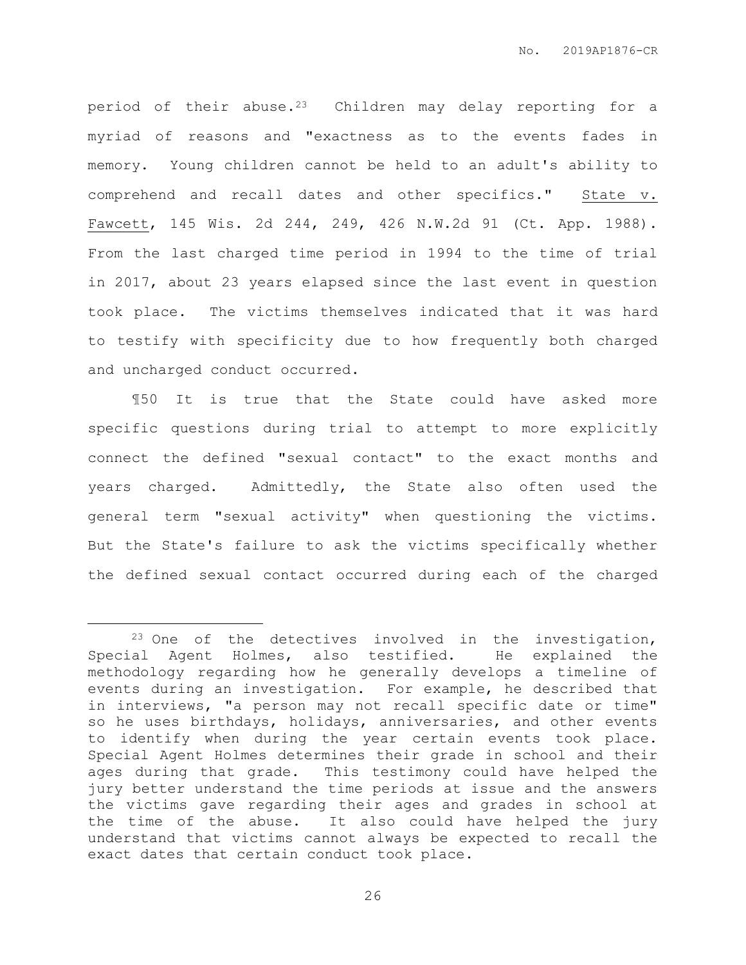period of their abuse.23 Children may delay reporting for a myriad of reasons and "exactness as to the events fades in memory. Young children cannot be held to an adult's ability to comprehend and recall dates and other specifics." State v. Fawcett, 145 Wis. 2d 244, 249, 426 N.W.2d 91 (Ct. App. 1988). From the last charged time period in 1994 to the time of trial in 2017, about 23 years elapsed since the last event in question took place. The victims themselves indicated that it was hard to testify with specificity due to how frequently both charged and uncharged conduct occurred.

¶50 It is true that the State could have asked more specific questions during trial to attempt to more explicitly connect the defined "sexual contact" to the exact months and years charged. Admittedly, the State also often used the general term "sexual activity" when questioning the victims. But the State's failure to ask the victims specifically whether the defined sexual contact occurred during each of the charged

 $\overline{a}$ 

 $23$  One of the detectives involved in the investigation, Special Agent Holmes, also testified. He explained the methodology regarding how he generally develops a timeline of events during an investigation. For example, he described that in interviews, "a person may not recall specific date or time" so he uses birthdays, holidays, anniversaries, and other events to identify when during the year certain events took place. Special Agent Holmes determines their grade in school and their ages during that grade. This testimony could have helped the jury better understand the time periods at issue and the answers the victims gave regarding their ages and grades in school at the time of the abuse. It also could have helped the jury understand that victims cannot always be expected to recall the exact dates that certain conduct took place.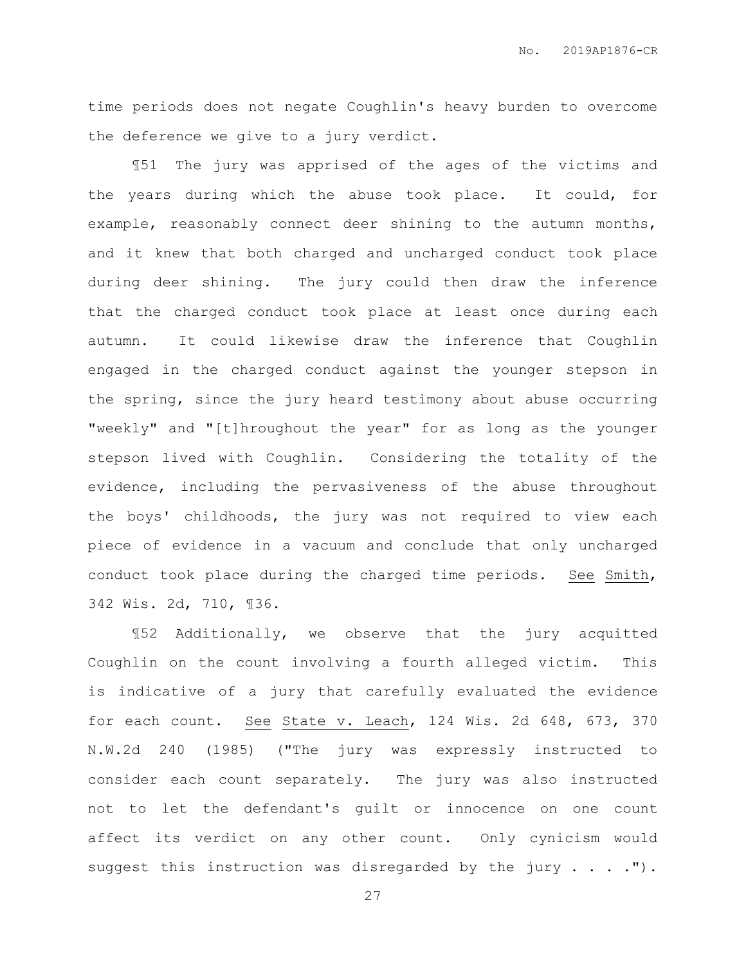time periods does not negate Coughlin's heavy burden to overcome the deference we give to a jury verdict.

¶51 The jury was apprised of the ages of the victims and the years during which the abuse took place. It could, for example, reasonably connect deer shining to the autumn months, and it knew that both charged and uncharged conduct took place during deer shining. The jury could then draw the inference that the charged conduct took place at least once during each autumn. It could likewise draw the inference that Coughlin engaged in the charged conduct against the younger stepson in the spring, since the jury heard testimony about abuse occurring "weekly" and "[t]hroughout the year" for as long as the younger stepson lived with Coughlin. Considering the totality of the evidence, including the pervasiveness of the abuse throughout the boys' childhoods, the jury was not required to view each piece of evidence in a vacuum and conclude that only uncharged conduct took place during the charged time periods. See Smith, 342 Wis. 2d, 710, ¶36.

¶52 Additionally, we observe that the jury acquitted Coughlin on the count involving a fourth alleged victim. This is indicative of a jury that carefully evaluated the evidence for each count. See State v. Leach, 124 Wis. 2d 648, 673, 370 N.W.2d 240 (1985) ("The jury was expressly instructed to consider each count separately. The jury was also instructed not to let the defendant's guilt or innocence on one count affect its verdict on any other count. Only cynicism would suggest this instruction was disregarded by the jury . . . .").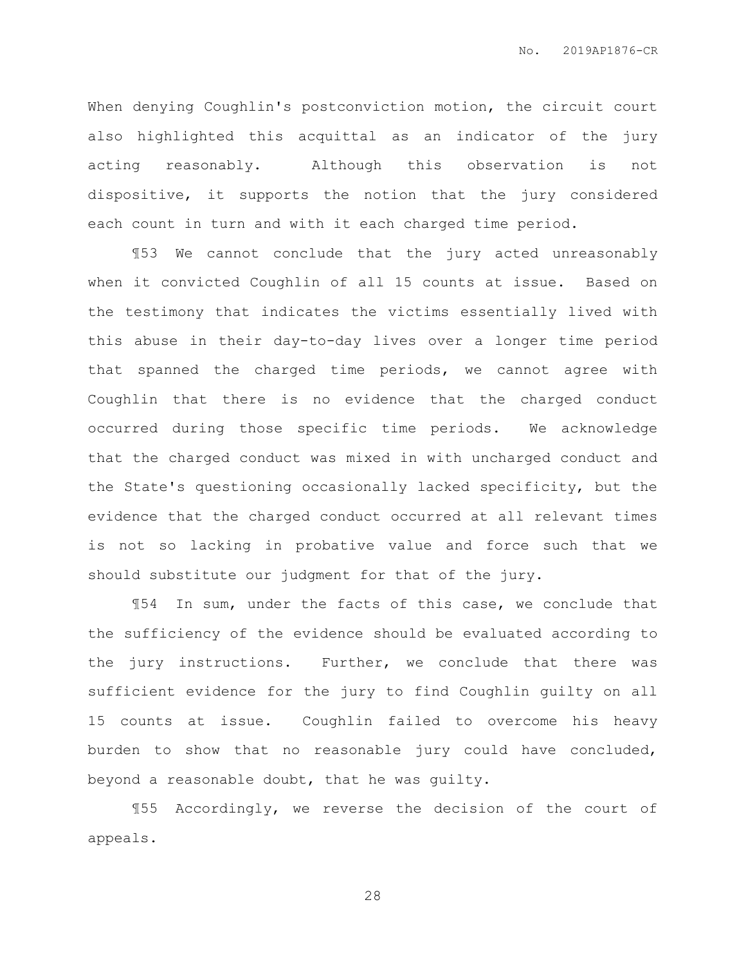When denying Coughlin's postconviction motion, the circuit court also highlighted this acquittal as an indicator of the jury acting reasonably. Although this observation is not dispositive, it supports the notion that the jury considered each count in turn and with it each charged time period.

¶53 We cannot conclude that the jury acted unreasonably when it convicted Coughlin of all 15 counts at issue. Based on the testimony that indicates the victims essentially lived with this abuse in their day-to-day lives over a longer time period that spanned the charged time periods, we cannot agree with Coughlin that there is no evidence that the charged conduct occurred during those specific time periods. We acknowledge that the charged conduct was mixed in with uncharged conduct and the State's questioning occasionally lacked specificity, but the evidence that the charged conduct occurred at all relevant times is not so lacking in probative value and force such that we should substitute our judgment for that of the jury.

¶54 In sum, under the facts of this case, we conclude that the sufficiency of the evidence should be evaluated according to the jury instructions. Further, we conclude that there was sufficient evidence for the jury to find Coughlin guilty on all 15 counts at issue. Coughlin failed to overcome his heavy burden to show that no reasonable jury could have concluded, beyond a reasonable doubt, that he was guilty.

¶55 Accordingly, we reverse the decision of the court of appeals.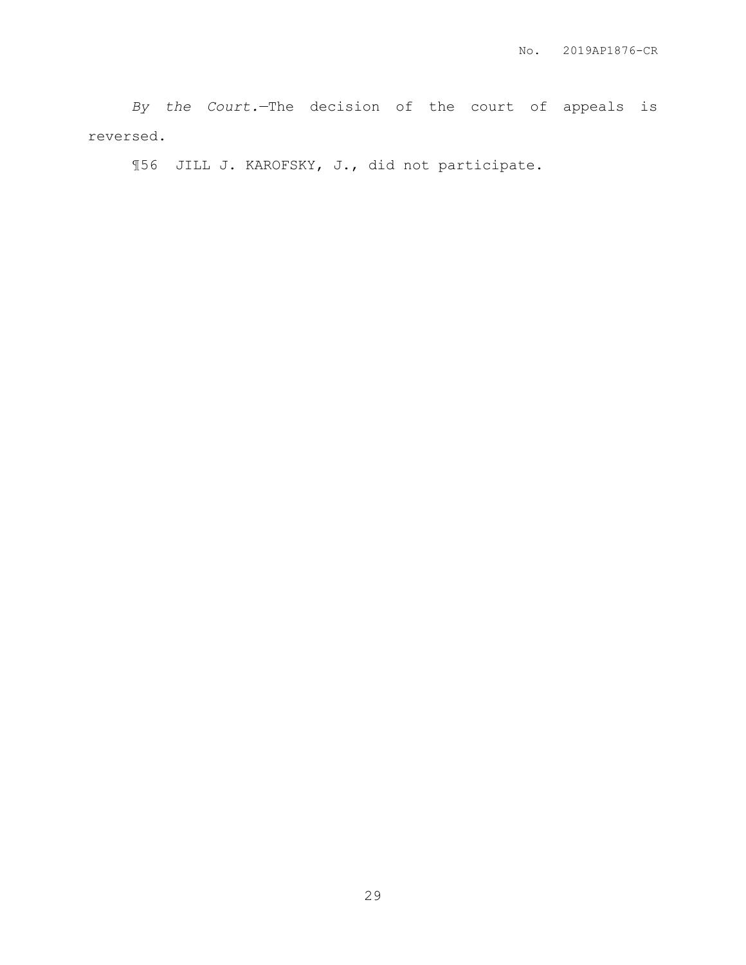*By the Court.*—The decision of the court of appeals is reversed.

¶56 JILL J. KAROFSKY, J., did not participate.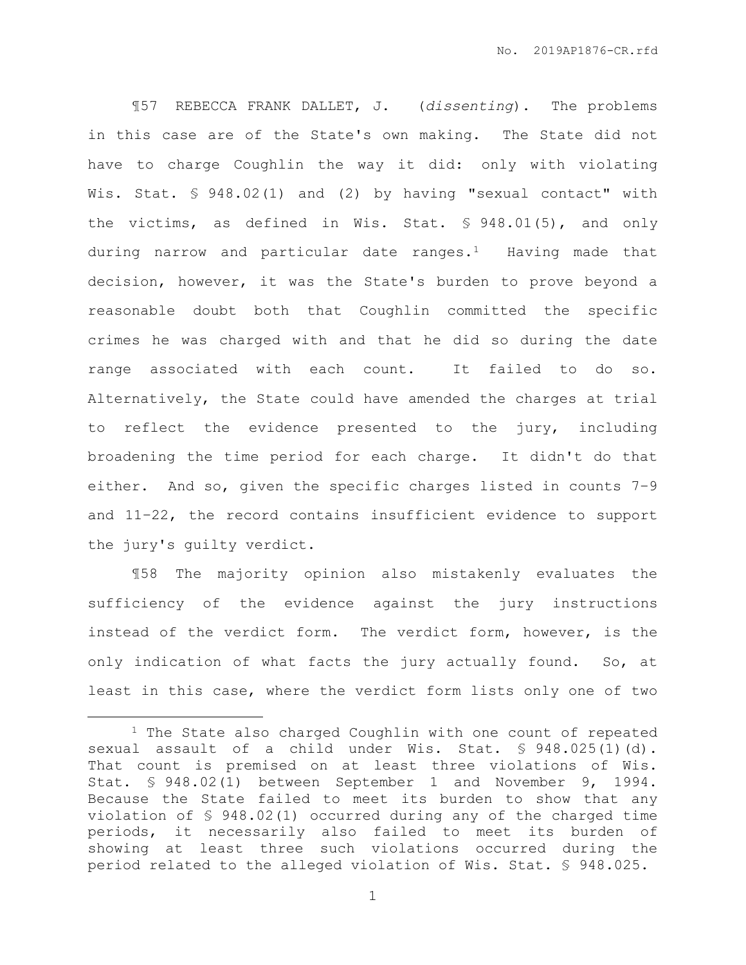¶57 REBECCA FRANK DALLET, J. (*dissenting*). The problems in this case are of the State's own making. The State did not have to charge Coughlin the way it did: only with violating Wis. Stat. § 948.02(1) and (2) by having "sexual contact" with the victims, as defined in Wis. Stat. § 948.01(5), and only during narrow and particular date ranges.1 Having made that decision, however, it was the State's burden to prove beyond a reasonable doubt both that Coughlin committed the specific crimes he was charged with and that he did so during the date range associated with each count. It failed to do so. Alternatively, the State could have amended the charges at trial to reflect the evidence presented to the jury, including broadening the time period for each charge. It didn't do that either. And so, given the specific charges listed in counts 7–9 and 11–22, the record contains insufficient evidence to support the jury's guilty verdict.

¶58 The majority opinion also mistakenly evaluates the sufficiency of the evidence against the jury instructions instead of the verdict form. The verdict form, however, is the only indication of what facts the jury actually found. So, at least in this case, where the verdict form lists only one of two

 $\overline{a}$ 

<sup>&</sup>lt;sup>1</sup> The State also charged Coughlin with one count of repeated sexual assault of a child under Wis. Stat. § 948.025(1)(d). That count is premised on at least three violations of Wis. Stat. § 948.02(1) between September 1 and November 9, 1994. Because the State failed to meet its burden to show that any violation of § 948.02(1) occurred during any of the charged time periods, it necessarily also failed to meet its burden of showing at least three such violations occurred during the period related to the alleged violation of Wis. Stat. § 948.025.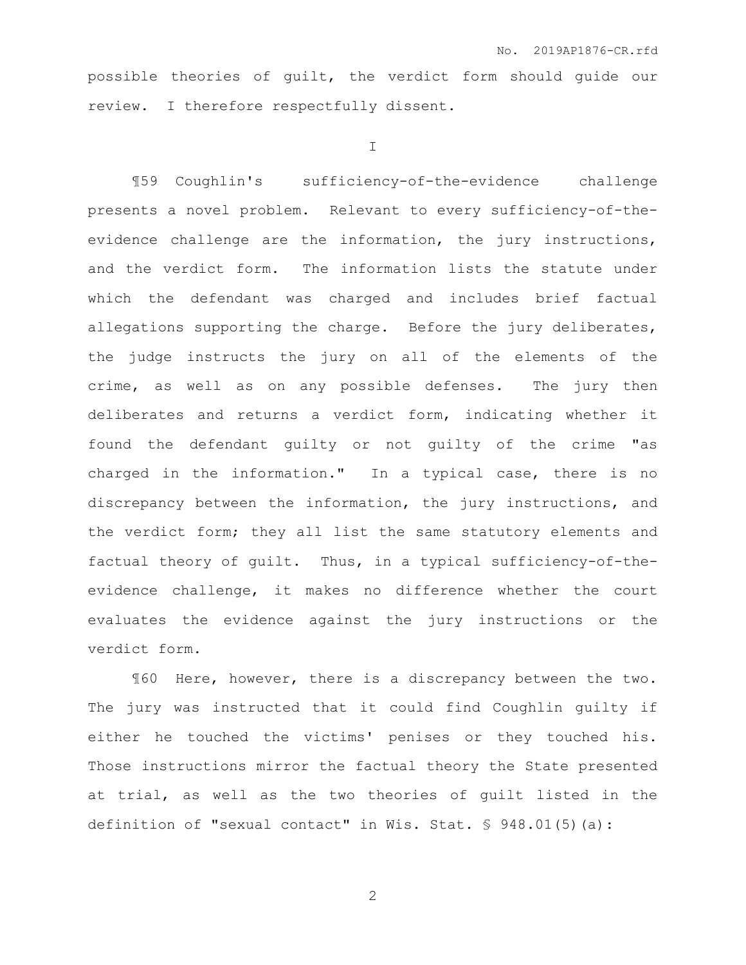possible theories of guilt, the verdict form should guide our review. I therefore respectfully dissent.

I

¶59 Coughlin's sufficiency-of-the-evidence challenge presents a novel problem. Relevant to every sufficiency-of-theevidence challenge are the information, the jury instructions, and the verdict form. The information lists the statute under which the defendant was charged and includes brief factual allegations supporting the charge. Before the jury deliberates, the judge instructs the jury on all of the elements of the crime, as well as on any possible defenses. The jury then deliberates and returns a verdict form, indicating whether it found the defendant guilty or not guilty of the crime "as charged in the information." In a typical case, there is no discrepancy between the information, the jury instructions, and the verdict form; they all list the same statutory elements and factual theory of guilt. Thus, in a typical sufficiency-of-theevidence challenge, it makes no difference whether the court evaluates the evidence against the jury instructions or the verdict form.

¶60 Here, however, there is a discrepancy between the two. The jury was instructed that it could find Coughlin guilty if either he touched the victims' penises or they touched his. Those instructions mirror the factual theory the State presented at trial, as well as the two theories of guilt listed in the definition of "sexual contact" in Wis. Stat. § 948.01(5)(a):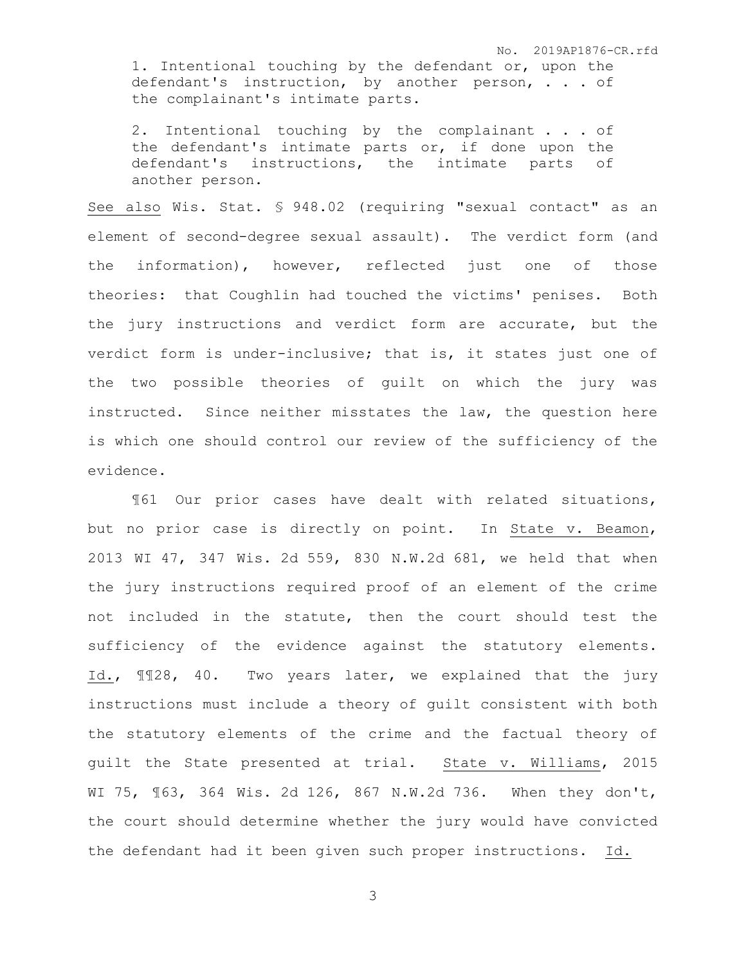No. 2019AP1876-CR.rfd 1. Intentional touching by the defendant or, upon the defendant's instruction, by another person, . . . of the complainant's intimate parts.

2. Intentional touching by the complainant . . . of the defendant's intimate parts or, if done upon the defendant's instructions, the intimate parts of another person.

See also Wis. Stat. § 948.02 (requiring "sexual contact" as an element of second-degree sexual assault). The verdict form (and the information), however, reflected just one of those theories: that Coughlin had touched the victims' penises. Both the jury instructions and verdict form are accurate, but the verdict form is under-inclusive; that is, it states just one of the two possible theories of guilt on which the jury was instructed. Since neither misstates the law, the question here is which one should control our review of the sufficiency of the evidence.

¶61 Our prior cases have dealt with related situations, but no prior case is directly on point. In State v. Beamon, 2013 WI 47, 347 Wis. 2d 559, 830 N.W.2d 681, we held that when the jury instructions required proof of an element of the crime not included in the statute, then the court should test the sufficiency of the evidence against the statutory elements. Id., ¶¶28, 40. Two years later, we explained that the jury instructions must include a theory of guilt consistent with both the statutory elements of the crime and the factual theory of guilt the State presented at trial. State v. Williams, 2015 WI 75, ¶63, 364 Wis. 2d 126, 867 N.W.2d 736. When they don't, the court should determine whether the jury would have convicted the defendant had it been given such proper instructions. Id.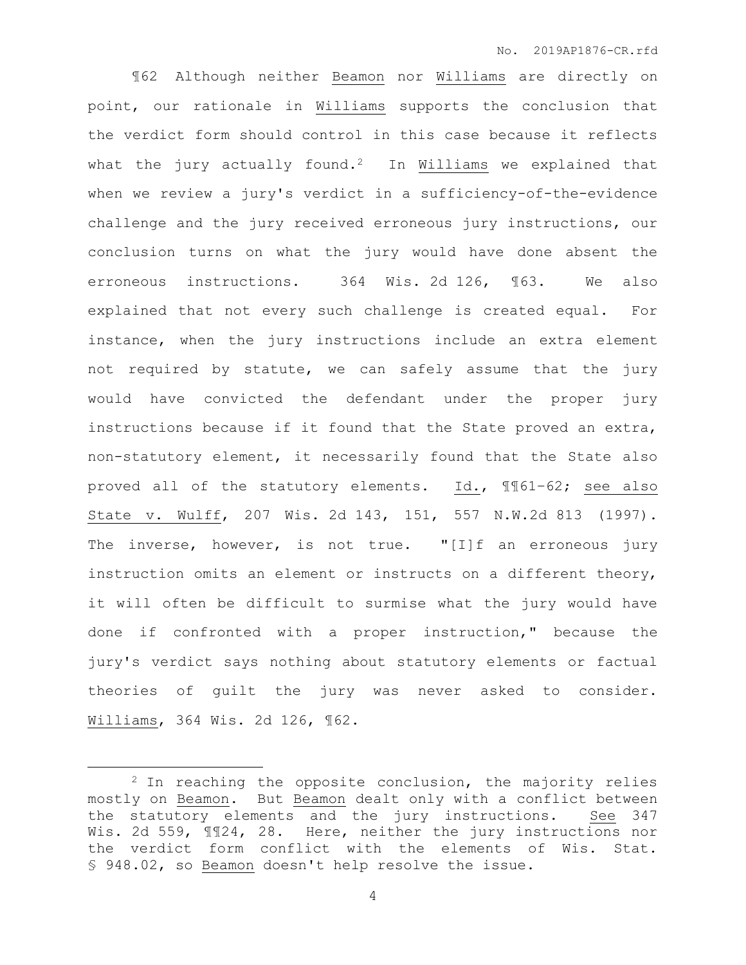¶62 Although neither Beamon nor Williams are directly on point, our rationale in Williams supports the conclusion that the verdict form should control in this case because it reflects what the jury actually found.<sup>2</sup> In Williams we explained that when we review a jury's verdict in a sufficiency-of-the-evidence challenge and the jury received erroneous jury instructions, our conclusion turns on what the jury would have done absent the erroneous instructions. 364 Wis. 2d 126, ¶63. We also explained that not every such challenge is created equal. For instance, when the jury instructions include an extra element not required by statute, we can safely assume that the jury would have convicted the defendant under the proper jury instructions because if it found that the State proved an extra, non-statutory element, it necessarily found that the State also proved all of the statutory elements. Id., ¶¶61–62; see also State v. Wulff, 207 Wis. 2d 143, 151, 557 N.W.2d 813 (1997). The inverse, however, is not true. "[I]f an erroneous jury instruction omits an element or instructs on a different theory, it will often be difficult to surmise what the jury would have done if confronted with a proper instruction," because the jury's verdict says nothing about statutory elements or factual theories of guilt the jury was never asked to consider. Williams, 364 Wis. 2d 126, ¶62.

 $\overline{a}$ 

<sup>2</sup> In reaching the opposite conclusion, the majority relies mostly on Beamon. But Beamon dealt only with a conflict between the statutory elements and the jury instructions. See 347 Wis. 2d 559, ¶¶24, 28. Here, neither the jury instructions nor the verdict form conflict with the elements of Wis. Stat. § 948.02, so Beamon doesn't help resolve the issue.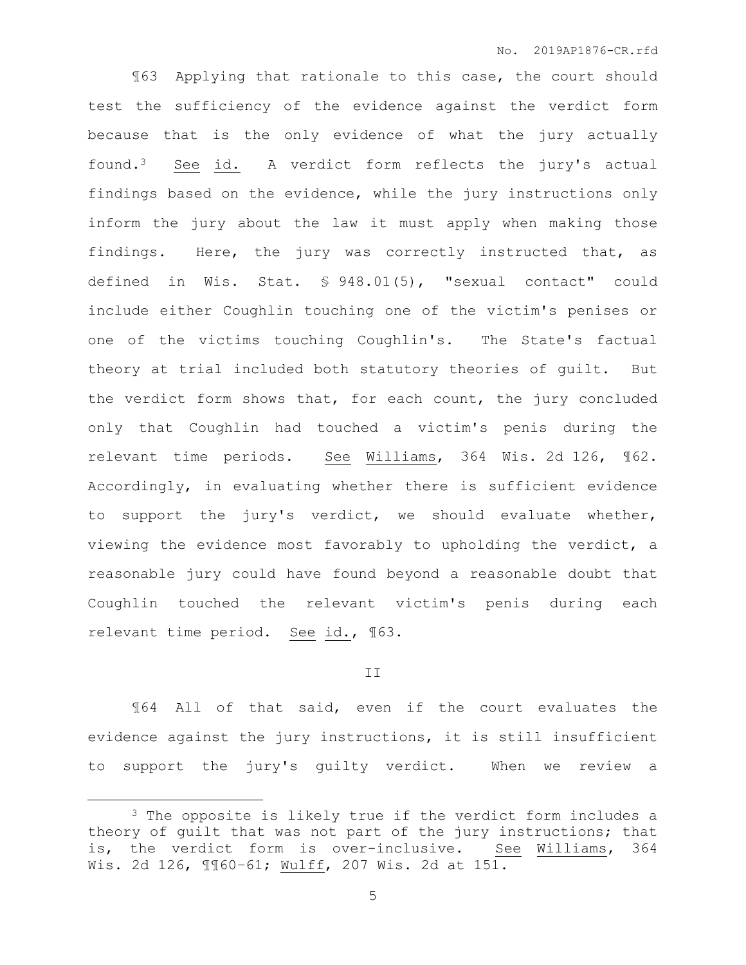¶63 Applying that rationale to this case, the court should test the sufficiency of the evidence against the verdict form because that is the only evidence of what the jury actually found.3 See id. A verdict form reflects the jury's actual findings based on the evidence, while the jury instructions only inform the jury about the law it must apply when making those findings. Here, the jury was correctly instructed that, as defined in Wis. Stat. § 948.01(5), "sexual contact" could include either Coughlin touching one of the victim's penises or one of the victims touching Coughlin's. The State's factual theory at trial included both statutory theories of guilt. But the verdict form shows that, for each count, the jury concluded only that Coughlin had touched a victim's penis during the relevant time periods. See Williams, 364 Wis. 2d 126, ¶62. Accordingly, in evaluating whether there is sufficient evidence to support the jury's verdict, we should evaluate whether, viewing the evidence most favorably to upholding the verdict, a reasonable jury could have found beyond a reasonable doubt that Coughlin touched the relevant victim's penis during each relevant time period. See id., ¶63.

#### II

¶64 All of that said, even if the court evaluates the evidence against the jury instructions, it is still insufficient to support the jury's guilty verdict. When we review a

 $\overline{a}$ 

<sup>&</sup>lt;sup>3</sup> The opposite is likely true if the verdict form includes a theory of guilt that was not part of the jury instructions; that is, the verdict form is over-inclusive. See Williams, 364 Wis. 2d 126, ¶¶60–61; Wulff, 207 Wis. 2d at 151.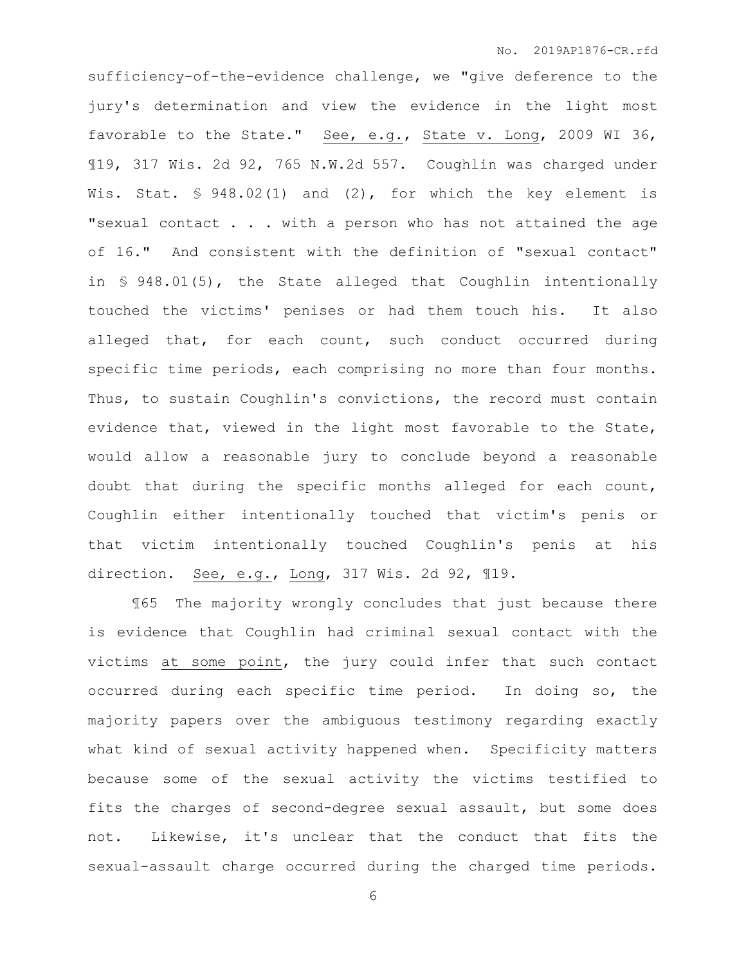sufficiency-of-the-evidence challenge, we "give deference to the jury's determination and view the evidence in the light most favorable to the State." See, e.g., State v. Long, 2009 WI 36, ¶19, 317 Wis. 2d 92, 765 N.W.2d 557. Coughlin was charged under Wis. Stat. § 948.02(1) and (2), for which the key element is "sexual contact . . . with a person who has not attained the age of 16." And consistent with the definition of "sexual contact" in § 948.01(5), the State alleged that Coughlin intentionally touched the victims' penises or had them touch his. It also alleged that, for each count, such conduct occurred during specific time periods, each comprising no more than four months. Thus, to sustain Coughlin's convictions, the record must contain evidence that, viewed in the light most favorable to the State, would allow a reasonable jury to conclude beyond a reasonable doubt that during the specific months alleged for each count, Coughlin either intentionally touched that victim's penis or that victim intentionally touched Coughlin's penis at his direction. See, e.g., Long, 317 Wis. 2d 92, ¶19.

¶65 The majority wrongly concludes that just because there is evidence that Coughlin had criminal sexual contact with the victims at some point, the jury could infer that such contact occurred during each specific time period. In doing so, the majority papers over the ambiguous testimony regarding exactly what kind of sexual activity happened when. Specificity matters because some of the sexual activity the victims testified to fits the charges of second-degree sexual assault, but some does not. Likewise, it's unclear that the conduct that fits the sexual-assault charge occurred during the charged time periods.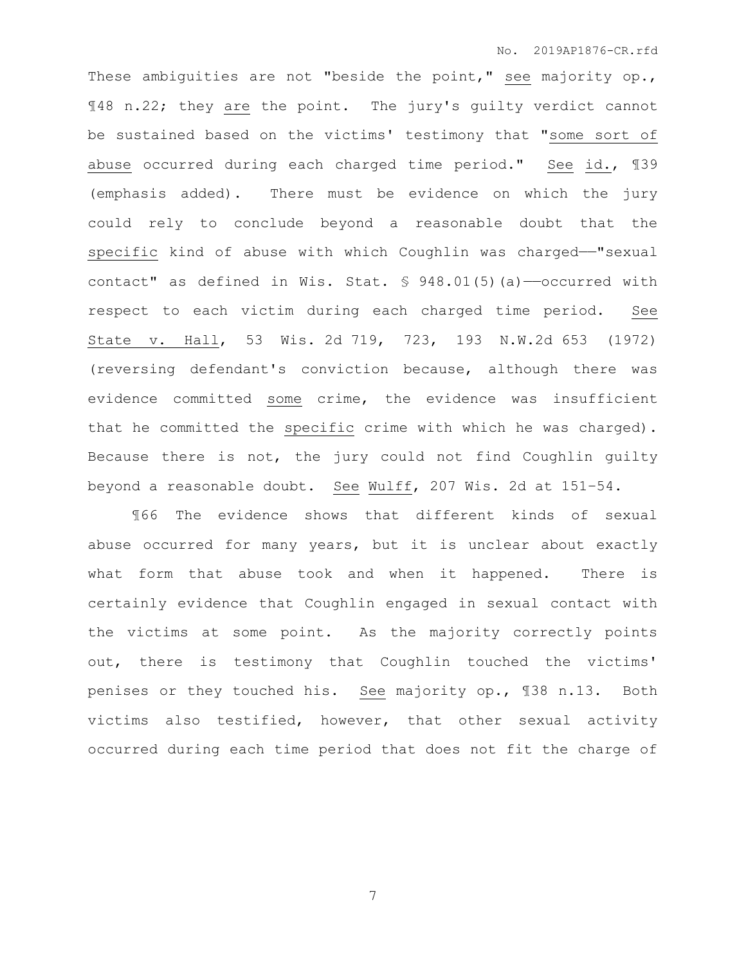These ambiguities are not "beside the point," see majority op., ¶48 n.22; they are the point. The jury's guilty verdict cannot be sustained based on the victims' testimony that "some sort of abuse occurred during each charged time period." See id., ¶39 (emphasis added). There must be evidence on which the jury could rely to conclude beyond a reasonable doubt that the specific kind of abuse with which Coughlin was charged——"sexual contact" as defined in Wis. Stat. § 948.01(5)(a)-occurred with respect to each victim during each charged time period. See State v. Hall, 53 Wis. 2d 719, 723, 193 N.W.2d 653 (1972) (reversing defendant's conviction because, although there was evidence committed some crime, the evidence was insufficient that he committed the specific crime with which he was charged). Because there is not, the jury could not find Coughlin guilty beyond a reasonable doubt. See Wulff, 207 Wis. 2d at 151–54.

¶66 The evidence shows that different kinds of sexual abuse occurred for many years, but it is unclear about exactly what form that abuse took and when it happened. There is certainly evidence that Coughlin engaged in sexual contact with the victims at some point. As the majority correctly points out, there is testimony that Coughlin touched the victims' penises or they touched his. See majority op., ¶38 n.13. Both victims also testified, however, that other sexual activity occurred during each time period that does not fit the charge of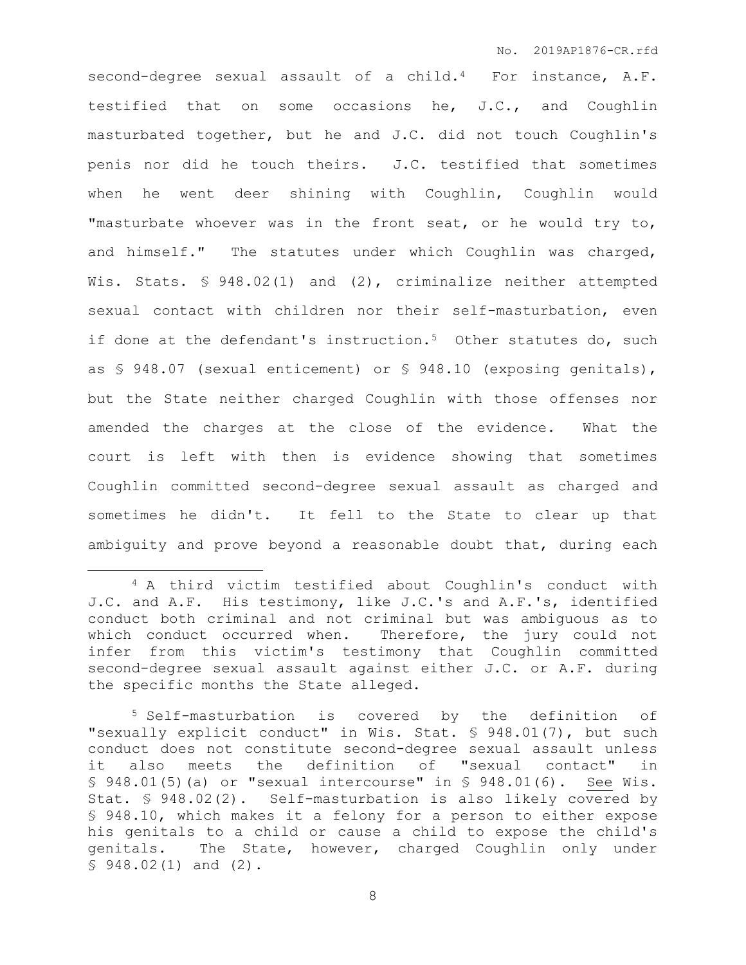second-degree sexual assault of a child.<sup>4</sup> For instance, A.F. testified that on some occasions he, J.C., and Coughlin masturbated together, but he and J.C. did not touch Coughlin's penis nor did he touch theirs. J.C. testified that sometimes when he went deer shining with Coughlin, Coughlin would "masturbate whoever was in the front seat, or he would try to, and himself." The statutes under which Coughlin was charged, Wis. Stats. § 948.02(1) and (2), criminalize neither attempted sexual contact with children nor their self-masturbation, even if done at the defendant's instruction.<sup>5</sup> Other statutes do, such as § 948.07 (sexual enticement) or § 948.10 (exposing genitals), but the State neither charged Coughlin with those offenses nor amended the charges at the close of the evidence. What the court is left with then is evidence showing that sometimes Coughlin committed second-degree sexual assault as charged and sometimes he didn't. It fell to the State to clear up that ambiguity and prove beyond a reasonable doubt that, during each

 $\overline{a}$ 

<sup>4</sup> A third victim testified about Coughlin's conduct with J.C. and A.F. His testimony, like J.C.'s and A.F.'s, identified conduct both criminal and not criminal but was ambiguous as to which conduct occurred when. Therefore, the jury could not infer from this victim's testimony that Coughlin committed second-degree sexual assault against either J.C. or A.F. during the specific months the State alleged.

<sup>5</sup> Self-masturbation is covered by the definition of "sexually explicit conduct" in Wis. Stat. § 948.01(7), but such conduct does not constitute second-degree sexual assault unless it also meets the definition of "sexual contact" in  $$ 948.01(5)(a)$  or "sexual intercourse" in  $$ 948.01(6)$ . See Wis. Stat. § 948.02(2). Self-masturbation is also likely covered by § 948.10, which makes it a felony for a person to either expose his genitals to a child or cause a child to expose the child's genitals. The State, however, charged Coughlin only under § 948.02(1) and (2).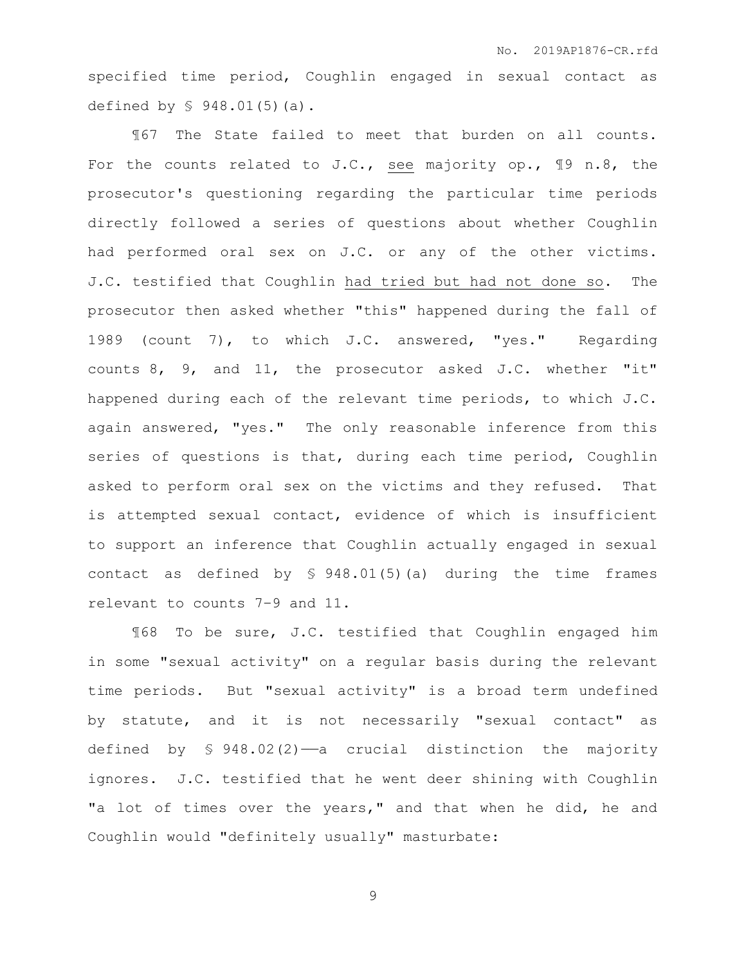specified time period, Coughlin engaged in sexual contact as defined by § 948.01(5)(a).

¶67 The State failed to meet that burden on all counts. For the counts related to J.C., see majority op., ¶9 n.8, the prosecutor's questioning regarding the particular time periods directly followed a series of questions about whether Coughlin had performed oral sex on J.C. or any of the other victims. J.C. testified that Coughlin had tried but had not done so. The prosecutor then asked whether "this" happened during the fall of 1989 (count 7), to which J.C. answered, "yes." Regarding counts 8, 9, and 11, the prosecutor asked J.C. whether "it" happened during each of the relevant time periods, to which J.C. again answered, "yes." The only reasonable inference from this series of questions is that, during each time period, Coughlin asked to perform oral sex on the victims and they refused. That is attempted sexual contact, evidence of which is insufficient to support an inference that Coughlin actually engaged in sexual contact as defined by § 948.01(5)(a) during the time frames relevant to counts 7–9 and 11.

¶68 To be sure, J.C. testified that Coughlin engaged him in some "sexual activity" on a regular basis during the relevant time periods. But "sexual activity" is a broad term undefined by statute, and it is not necessarily "sexual contact" as defined by  $\frac{1}{5}$  948.02(2)—a crucial distinction the majority ignores. J.C. testified that he went deer shining with Coughlin "a lot of times over the years," and that when he did, he and Coughlin would "definitely usually" masturbate: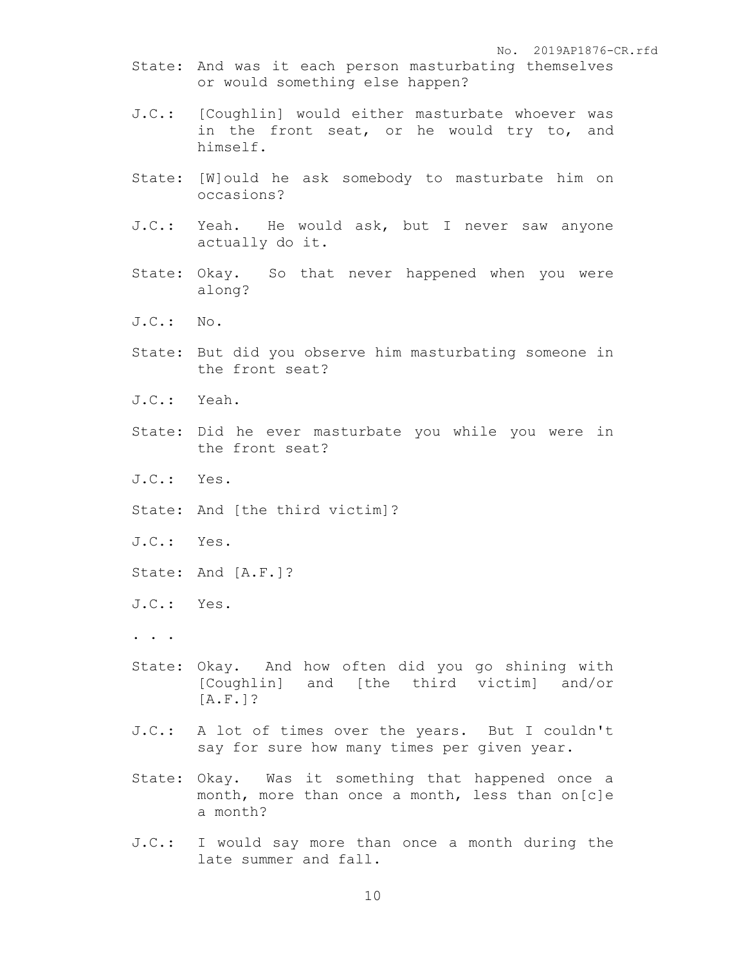No. 2019AP1876-CR.rfd

- State: And was it each person masturbating themselves or would something else happen?
- J.C.: [Coughlin] would either masturbate whoever was in the front seat, or he would try to, and himself.
- State: [W]ould he ask somebody to masturbate him on occasions?
- J.C.: Yeah. He would ask, but I never saw anyone actually do it.
- State: Okay. So that never happened when you were along?
- J.C.: No.
- State: But did you observe him masturbating someone in the front seat?
- J.C.: Yeah.
- State: Did he ever masturbate you while you were in the front seat?
- J.C.: Yes.
- State: And [the third victim]?
- J.C.: Yes.
- State: And [A.F.]?
- J.C.: Yes.
- . . .
- State: Okay. And how often did you go shining with [Coughlin] and [the third victim] and/or [A.F.]?
- J.C.: A lot of times over the years. But I couldn't say for sure how many times per given year.
- State: Okay. Was it something that happened once a month, more than once a month, less than on[c]e a month?
- J.C.: I would say more than once a month during the late summer and fall.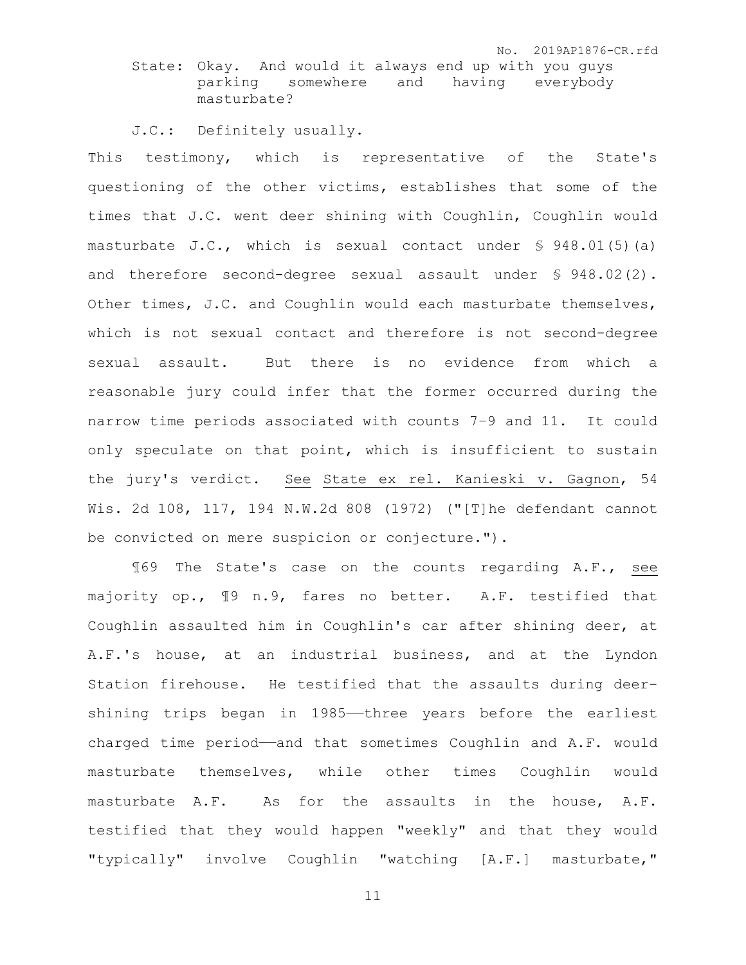No. 2019AP1876-CR.rfd

State: Okay. And would it always end up with you guys parking somewhere and having everybody masturbate?

J.C.: Definitely usually.

This testimony, which is representative of the State's questioning of the other victims, establishes that some of the times that J.C. went deer shining with Coughlin, Coughlin would masturbate J.C., which is sexual contact under § 948.01(5)(a) and therefore second-degree sexual assault under § 948.02(2). Other times, J.C. and Coughlin would each masturbate themselves, which is not sexual contact and therefore is not second-degree sexual assault. But there is no evidence from which a reasonable jury could infer that the former occurred during the narrow time periods associated with counts 7–9 and 11. It could only speculate on that point, which is insufficient to sustain the jury's verdict. See State ex rel. Kanieski v. Gagnon, 54 Wis. 2d 108, 117, 194 N.W.2d 808 (1972) ("[T]he defendant cannot be convicted on mere suspicion or conjecture.").

¶69 The State's case on the counts regarding A.F., see majority op., ¶9 n.9, fares no better. A.F. testified that Coughlin assaulted him in Coughlin's car after shining deer, at A.F.'s house, at an industrial business, and at the Lyndon Station firehouse. He testified that the assaults during deershining trips began in 1985—three years before the earliest charged time period——and that sometimes Coughlin and A.F. would masturbate themselves, while other times Coughlin would masturbate A.F. As for the assaults in the house, A.F. testified that they would happen "weekly" and that they would "typically" involve Coughlin "watching [A.F.] masturbate,"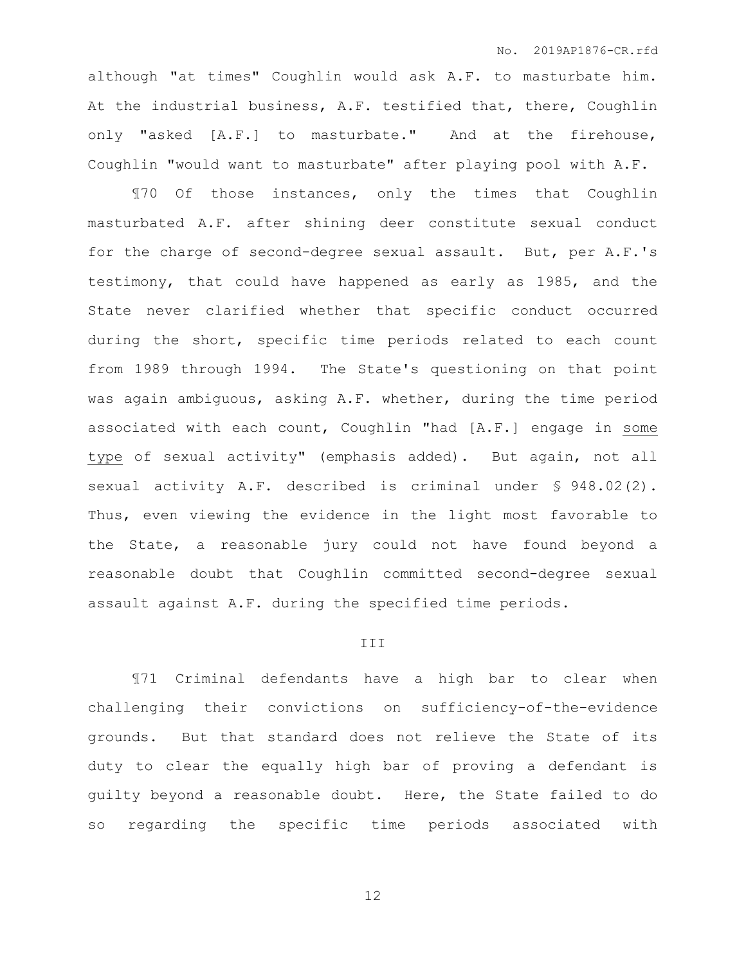although "at times" Coughlin would ask A.F. to masturbate him. At the industrial business, A.F. testified that, there, Coughlin only "asked [A.F.] to masturbate." And at the firehouse, Coughlin "would want to masturbate" after playing pool with A.F.

¶70 Of those instances, only the times that Coughlin masturbated A.F. after shining deer constitute sexual conduct for the charge of second-degree sexual assault. But, per A.F.'s testimony, that could have happened as early as 1985, and the State never clarified whether that specific conduct occurred during the short, specific time periods related to each count from 1989 through 1994. The State's questioning on that point was again ambiguous, asking A.F. whether, during the time period associated with each count, Coughlin "had [A.F.] engage in some type of sexual activity" (emphasis added). But again, not all sexual activity A.F. described is criminal under § 948.02(2). Thus, even viewing the evidence in the light most favorable to the State, a reasonable jury could not have found beyond a reasonable doubt that Coughlin committed second-degree sexual assault against A.F. during the specified time periods.

#### III

¶71 Criminal defendants have a high bar to clear when challenging their convictions on sufficiency-of-the-evidence grounds. But that standard does not relieve the State of its duty to clear the equally high bar of proving a defendant is guilty beyond a reasonable doubt. Here, the State failed to do so regarding the specific time periods associated with